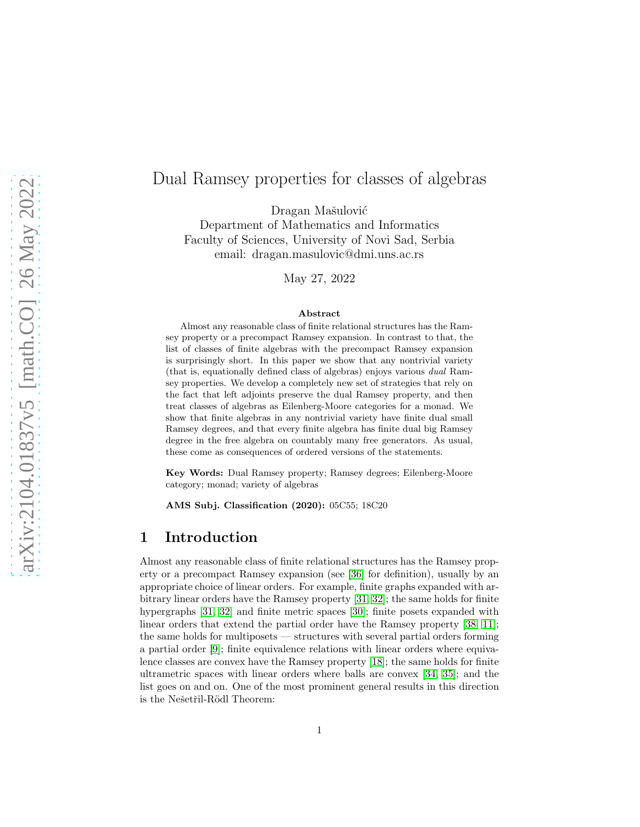# Dual Ramsey properties for classes of algebras

Dragan Mašulović

Department of Mathematics and Informatics Faculty of Sciences, University of Novi Sad, Serbia email: dragan.masulovic@dmi.uns.ac.rs

May 27, 2022

#### Abstract

Almost any reasonable class of finite relational structures has the Ramsey property or a precompact Ramsey expansion. In contrast to that, the list of classes of finite algebras with the precompact Ramsey expansion is surprisingly short. In this paper we show that any nontrivial variety (that is, equationally defined class of algebras) enjoys various dual Ramsey properties. We develop a completely new set of strategies that rely on the fact that left adjoints preserve the dual Ramsey property, and then treat classes of algebras as Eilenberg-Moore categories for a monad. We show that finite algebras in any nontrivial variety have finite dual small Ramsey degrees, and that every finite algebra has finite dual big Ramsey degree in the free algebra on countably many free generators. As usual, these come as consequences of ordered versions of the statements.

Key Words: Dual Ramsey property; Ramsey degrees; Eilenberg-Moore category; monad; variety of algebras

AMS Subj. Classification (2020): 05C55; 18C20

#### 1 Introduction

Almost any reasonable class of finite relational structures has the Ramsey property or a precompact Ramsey expansion (see [\[36\]](#page-31-0) for definition), usually by an appropriate choice of linear orders. For example, finite graphs expanded with arbitrary linear orders have the Ramsey property [\[31,](#page-30-0) [32\]](#page-30-1); the same holds for finite hypergraphs [\[31,](#page-30-0) [32\]](#page-30-1) and finite metric spaces [\[30\]](#page-30-2); finite posets expanded with linear orders that extend the partial order have the Ramsey property [\[38,](#page-31-1) [11\]](#page-29-0); the same holds for multiposets — structures with several partial orders forming a partial order [\[9\]](#page-29-1); finite equivalence relations with linear orders where equivalence classes are convex have the Ramsey property [\[18\]](#page-29-2); the same holds for finite ultrametric spaces with linear orders where balls are convex [\[34,](#page-30-3) [35\]](#page-30-4); and the list goes on and on. One of the most prominent general results in this direction is the Nešetřil-Rödl Theorem: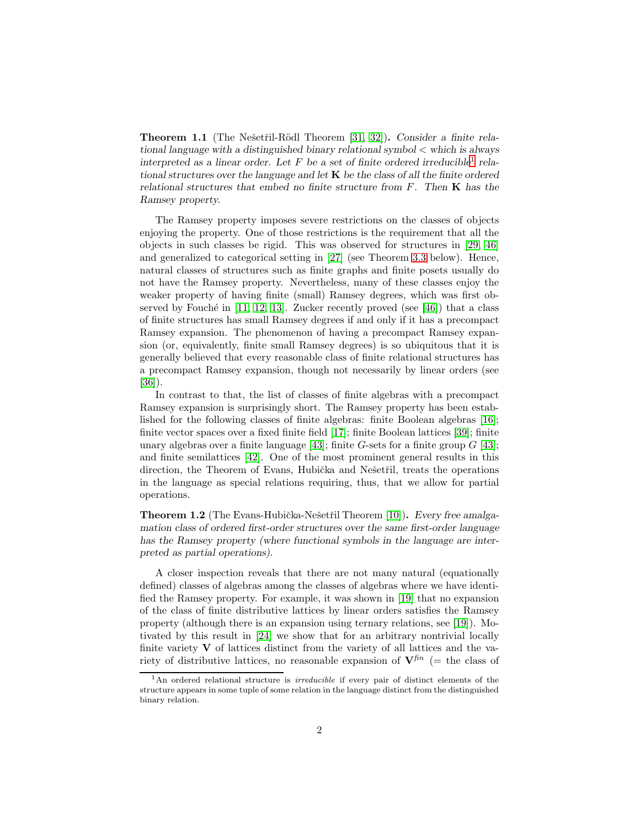<span id="page-1-1"></span>**Theorem 1.1** (The Nešetřil-Rödl Theorem [\[31,](#page-30-0) [32\]](#page-30-1)). Consider a finite rela*tional language with a distinguished binary relational symbol* < *which is always interpreted as a linear order. Let* F *be a set of finite ordered irreducible*[1](#page-1-0) *relational structures over the language and let* K *be the class of all the finite ordered relational structures that embed no finite structure from* F*. Then* K *has the Ramsey property.*

The Ramsey property imposes severe restrictions on the classes of objects enjoying the property. One of those restrictions is the requirement that all the objects in such classes be rigid. This was observed for structures in [\[29,](#page-30-5) [46\]](#page-31-2) and generalized to categorical setting in [\[27\]](#page-30-6) (see Theorem [3.3](#page-10-0) below). Hence, natural classes of structures such as finite graphs and finite posets usually do not have the Ramsey property. Nevertheless, many of these classes enjoy the weaker property of having finite (small) Ramsey degrees, which was first observed by Fouché in  $[11, 12, 13]$  $[11, 12, 13]$  $[11, 12, 13]$ . Zucker recently proved (see  $[46]$ ) that a class of finite structures has small Ramsey degrees if and only if it has a precompact Ramsey expansion. The phenomenon of having a precompact Ramsey expansion (or, equivalently, finite small Ramsey degrees) is so ubiquitous that it is generally believed that every reasonable class of finite relational structures has a precompact Ramsey expansion, though not necessarily by linear orders (see [\[36\]](#page-31-0)).

In contrast to that, the list of classes of finite algebras with a precompact Ramsey expansion is surprisingly short. The Ramsey property has been established for the following classes of finite algebras: finite Boolean algebras [\[16\]](#page-29-5); finite vector spaces over a fixed finite field [\[17\]](#page-29-6); finite Boolean lattices [\[39\]](#page-31-3); finite unary algebras over a finite language [\[43\]](#page-31-4); finite G-sets for a finite group  $G$  [\[43\]](#page-31-4); and finite semilattices [\[42\]](#page-31-5). One of the most prominent general results in this direction, the Theorem of Evans, Hubička and Nešetřil, treats the operations in the language as special relations requiring, thus, that we allow for partial operations.

**Theorem 1.2** (The Evans-Hubička-Nešetřil Theorem [\[10\]](#page-29-7)). Every free amalga*mation class of ordered first-order structures over the same first-order language has the Ramsey property (where functional symbols in the language are interpreted as partial operations).*

A closer inspection reveals that there are not many natural (equationally defined) classes of algebras among the classes of algebras where we have identified the Ramsey property. For example, it was shown in [\[19\]](#page-29-8) that no expansion of the class of finite distributive lattices by linear orders satisfies the Ramsey property (although there is an expansion using ternary relations, see [\[19\]](#page-29-8)). Motivated by this result in [\[24\]](#page-30-7) we show that for an arbitrary nontrivial locally finite variety  $V$  of lattices distinct from the variety of all lattices and the variety of distributive lattices, no reasonable expansion of  $V^{fin}$  (= the class of

<span id="page-1-0"></span><sup>&</sup>lt;sup>1</sup>An ordered relational structure is *irreducible* if every pair of distinct elements of the structure appears in some tuple of some relation in the language distinct from the distinguished binary relation.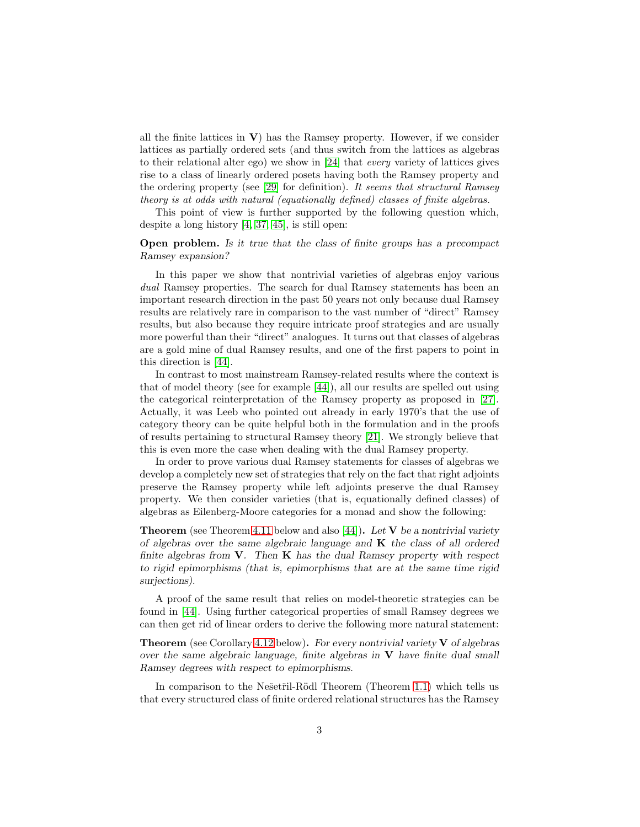all the finite lattices in  $V$ ) has the Ramsey property. However, if we consider lattices as partially ordered sets (and thus switch from the lattices as algebras to their relational alter ego) we show in [\[24\]](#page-30-7) that every variety of lattices gives rise to a class of linearly ordered posets having both the Ramsey property and the ordering property (see [\[29\]](#page-30-5) for definition). It seems that structural Ramsey theory is at odds with natural (equationally defined) classes of finite algebras.

This point of view is further supported by the following question which, despite a long history [\[4,](#page-28-0) [37,](#page-31-6) [45\]](#page-31-7), is still open:

#### Open problem. *Is it true that the class of finite groups has a precompact Ramsey expansion?*

In this paper we show that nontrivial varieties of algebras enjoy various dual Ramsey properties. The search for dual Ramsey statements has been an important research direction in the past 50 years not only because dual Ramsey results are relatively rare in comparison to the vast number of "direct" Ramsey results, but also because they require intricate proof strategies and are usually more powerful than their "direct" analogues. It turns out that classes of algebras are a gold mine of dual Ramsey results, and one of the first papers to point in this direction is [\[44\]](#page-31-8).

In contrast to most mainstream Ramsey-related results where the context is that of model theory (see for example [\[44\]](#page-31-8)), all our results are spelled out using the categorical reinterpretation of the Ramsey property as proposed in [\[27\]](#page-30-6). Actually, it was Leeb who pointed out already in early 1970's that the use of category theory can be quite helpful both in the formulation and in the proofs of results pertaining to structural Ramsey theory [\[21\]](#page-30-8). We strongly believe that this is even more the case when dealing with the dual Ramsey property.

In order to prove various dual Ramsey statements for classes of algebras we develop a completely new set of strategies that rely on the fact that right adjoints preserve the Ramsey property while left adjoints preserve the dual Ramsey property. We then consider varieties (that is, equationally defined classes) of algebras as Eilenberg-Moore categories for a monad and show the following:

Theorem (see Theorem [4.11](#page-23-0) below and also [\[44\]](#page-31-8)). *Let* V *be a nontrivial variety of algebras over the same algebraic language and* K *the class of all ordered finite algebras from* V*. Then* K *has the dual Ramsey property with respect to rigid epimorphisms (that is, epimorphisms that are at the same time rigid surjections).*

A proof of the same result that relies on model-theoretic strategies can be found in [\[44\]](#page-31-8). Using further categorical properties of small Ramsey degrees we can then get rid of linear orders to derive the following more natural statement:

Theorem (see Corollary [4.12](#page-24-0) below). *For every nontrivial variety* V *of algebras over the same algebraic language, finite algebras in* V *have finite dual small Ramsey degrees with respect to epimorphisms.*

In comparison to the Nešetřil-Rödl Theorem (Theorem [1.1\)](#page-1-1) which tells us that every structured class of finite ordered relational structures has the Ramsey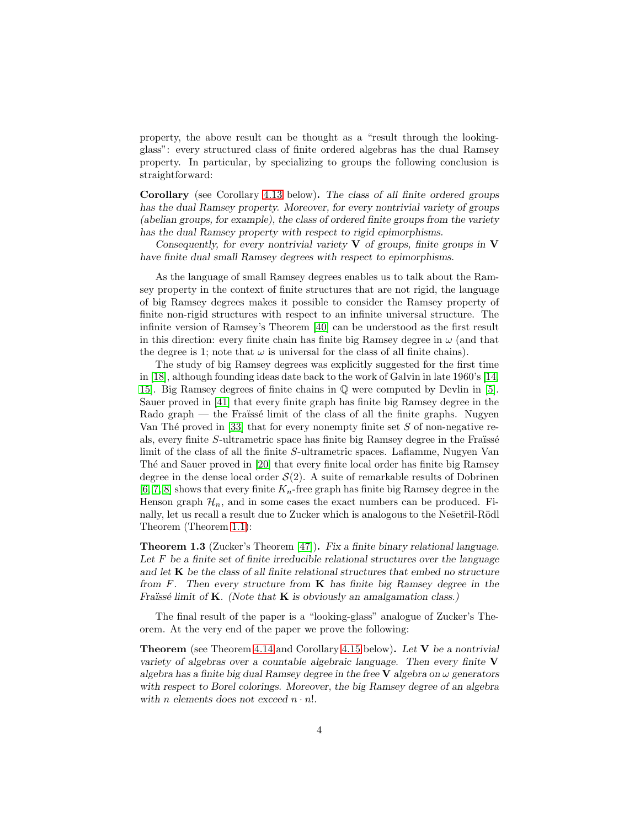property, the above result can be thought as a "result through the lookingglass": every structured class of finite ordered algebras has the dual Ramsey property. In particular, by specializing to groups the following conclusion is straightforward:

Corollary (see Corollary [4.13](#page-24-1) below). *The class of all finite ordered groups has the dual Ramsey property. Moreover, for every nontrivial variety of groups (abelian groups, for example), the class of ordered finite groups from the variety has the dual Ramsey property with respect to rigid epimorphisms.*

*Consequently, for every nontrivial variety* V *of groups, finite groups in* V *have finite dual small Ramsey degrees with respect to epimorphisms.*

As the language of small Ramsey degrees enables us to talk about the Ramsey property in the context of finite structures that are not rigid, the language of big Ramsey degrees makes it possible to consider the Ramsey property of finite non-rigid structures with respect to an infinite universal structure. The infinite version of Ramsey's Theorem [\[40\]](#page-31-9) can be understood as the first result in this direction: every finite chain has finite big Ramsey degree in  $\omega$  (and that the degree is 1; note that  $\omega$  is universal for the class of all finite chains).

The study of big Ramsey degrees was explicitly suggested for the first time in [\[18\]](#page-29-2), although founding ideas date back to the work of Galvin in late 1960's [\[14,](#page-29-9) [15\]](#page-29-10). Big Ramsey degrees of finite chains in Q were computed by Devlin in [\[5\]](#page-29-11). Sauer proved in [\[41\]](#page-31-10) that every finite graph has finite big Ramsey degree in the  $\text{Rado graph}$  — the Fraïssé limit of the class of all the finite graphs. Nugyen Van Thé proved in [\[33\]](#page-30-9) that for every nonempty finite set  $S$  of non-negative reals, every finite  $S$ -ultrametric space has finite big Ramsey degree in the Fraïssé limit of the class of all the finite S-ultrametric spaces. Laflamme, Nugyen Van Thé and Sauer proved in [\[20\]](#page-30-10) that every finite local order has finite big Ramsey degree in the dense local order  $S(2)$ . A suite of remarkable results of Dobrinen [\[6,](#page-29-12) [7,](#page-29-13) [8\]](#page-29-14) shows that every finite  $K_n$ -free graph has finite big Ramsey degree in the Henson graph  $\mathcal{H}_n$ , and in some cases the exact numbers can be produced. Finally, let us recall a result due to Zucker which is analogous to the Nesteriil-Rödl Theorem (Theorem [1.1\)](#page-1-1):

Theorem 1.3 (Zucker's Theorem [\[47\]](#page-31-11)). *Fix a finite binary relational language. Let* F *be a finite set of finite irreducible relational structures over the language and let* K *be the class of all finite relational structures that embed no structure from* F*. Then every structure from* K *has finite big Ramsey degree in the Fraïssé limit of* **K***. (Note that* **K** *is obviously an amalgamation class.)* 

The final result of the paper is a "looking-glass" analogue of Zucker's Theorem. At the very end of the paper we prove the following:

Theorem (see Theorem [4.14](#page-25-0) and Corollary [4.15](#page-27-0) below). *Let* V *be a nontrivial variety of algebras over a countable algebraic language. Then every finite* V *algebra has a finite big dual Ramsey degree in the free*  $\bf{V}$  *algebra on*  $\omega$  *generators with respect to Borel colorings. Moreover, the big Ramsey degree of an algebra* with *n* elements does not exceed  $n \cdot n!$ .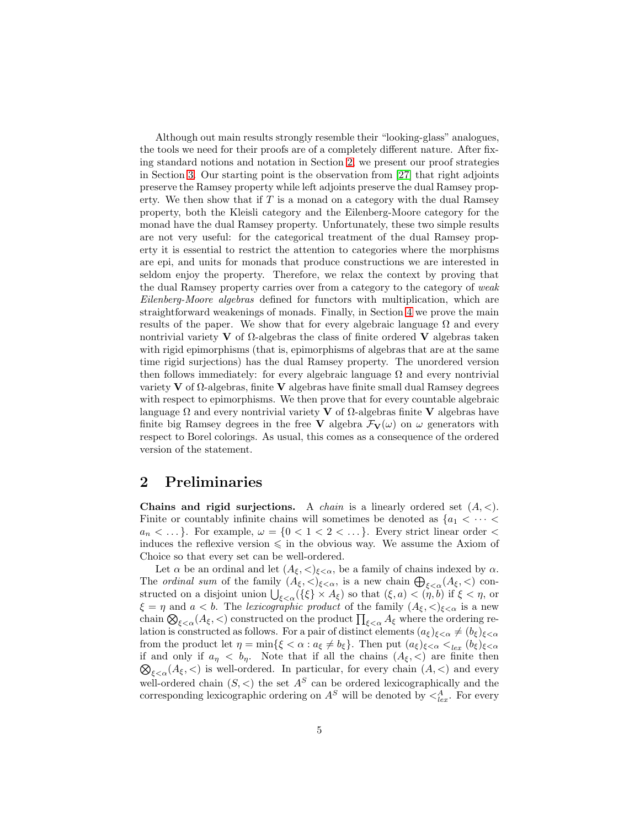Although out main results strongly resemble their "looking-glass" analogues, the tools we need for their proofs are of a completely different nature. After fixing standard notions and notation in Section [2,](#page-4-0) we present our proof strategies in Section [3.](#page-9-0) Our starting point is the observation from [\[27\]](#page-30-6) that right adjoints preserve the Ramsey property while left adjoints preserve the dual Ramsey property. We then show that if  $T$  is a monad on a category with the dual Ramsey property, both the Kleisli category and the Eilenberg-Moore category for the monad have the dual Ramsey property. Unfortunately, these two simple results are not very useful: for the categorical treatment of the dual Ramsey property it is essential to restrict the attention to categories where the morphisms are epi, and units for monads that produce constructions we are interested in seldom enjoy the property. Therefore, we relax the context by proving that the dual Ramsey property carries over from a category to the category of weak Eilenberg-Moore algebras defined for functors with multiplication, which are straightforward weakenings of monads. Finally, in Section [4](#page-16-0) we prove the main results of the paper. We show that for every algebraic language  $\Omega$  and every nontrivial variety **V** of  $\Omega$ -algebras the class of finite ordered **V** algebras taken with rigid epimorphisms (that is, epimorphisms of algebras that are at the same time rigid surjections) has the dual Ramsey property. The unordered version then follows immediately: for every algebraic language  $\Omega$  and every nontrivial variety V of Ω-algebras, finite V algebras have finite small dual Ramsey degrees with respect to epimorphisms. We then prove that for every countable algebraic language  $\Omega$  and every nontrivial variety **V** of  $\Omega$ -algebras finite **V** algebras have finite big Ramsey degrees in the free **V** algebra  $\mathcal{F}_{\mathbf{V}}(\omega)$  on  $\omega$  generators with respect to Borel colorings. As usual, this comes as a consequence of the ordered version of the statement.

### <span id="page-4-0"></span>2 Preliminaries

Chains and rigid surjections. A *chain* is a linearly ordered set  $(A, \leq)$ . Finite or countably infinite chains will sometimes be denoted as  $\{a_1 \lt \cdots \lt \}$  $a_n < \dots$ . For example,  $\omega = \{0 < 1 < 2 < \dots\}$ . Every strict linear order  $\lt$ induces the reflexive version  $\leq$  in the obvious way. We assume the Axiom of Choice so that every set can be well-ordered.

Let  $\alpha$  be an ordinal and let  $(A_{\xi}, \langle \rangle_{\xi \langle \alpha}, \xi)$  be a family of chains indexed by  $\alpha$ . The *ordinal sum* of the family  $(A_{\xi}, <)_{\xi < \alpha}$ , is a new chain  $\bigoplus_{\xi < \alpha} (A_{\xi}, <)$  constructed on a disjoint union  $\bigcup_{\xi<\alpha} (\{\xi\}\times A_{\xi})$  so that  $(\xi, a)<(\eta, b)$  if  $\xi<\eta$ , or  $\xi = \eta$  and  $a < b$ . The lexicographic product of the family  $(A_{\xi}, <)_{\xi < \alpha}$  is a new chain  $\bigotimes_{\xi<\alpha}(A_{\xi},<)$  constructed on the product  $\prod_{\xi<\alpha}A_{\xi}$  where the ordering relation is constructed as follows. For a pair of distinct elements  $(a_{\xi})_{\xi<\alpha}\neq (b_{\xi})_{\xi<\alpha}$ from the product let  $\eta = \min\{\xi < \alpha : a_{\xi} \neq b_{\xi}\}\$ . Then put  $(a_{\xi})_{\xi < \alpha} <_{lex} (b_{\xi})_{\xi < \alpha}\}$  $\bigotimes_{\xi<\alpha}(A_{\xi},<)$  is well-ordered. In particular, for every chain  $(A,<)$  and every if and only if  $a_{\eta} < b_{\eta}$ . Note that if all the chains  $(A_{\xi}, <)$  are finite then well-ordered chain  $(S, <)$  the set  $A<sup>S</sup>$  can be ordered lexicographically and the corresponding lexicographic ordering on  $A^S$  will be denoted by  $\langle A_{lex}^A$ . For every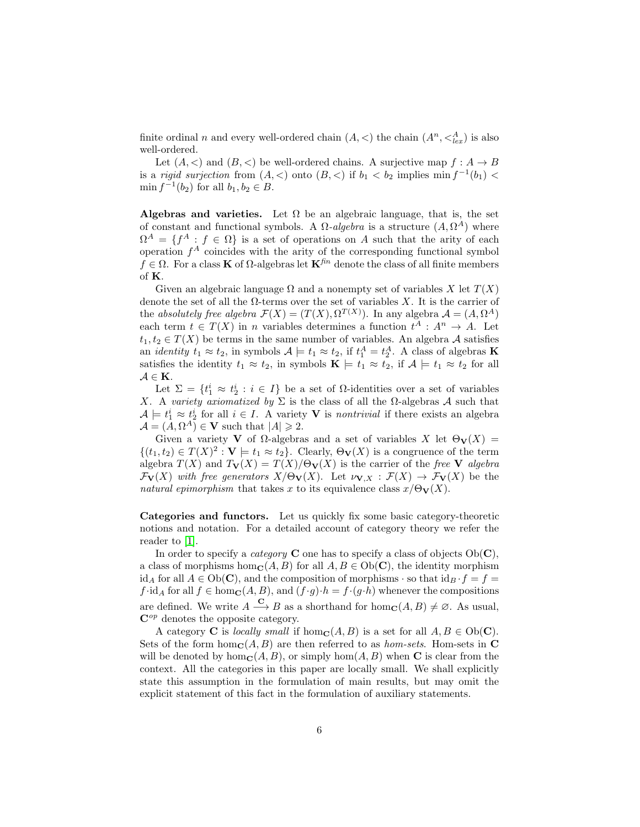finite ordinal n and every well-ordered chain  $(A, \le)$  the chain  $(A^n, \leq_{lex}^A)$  is also well-ordered.

Let  $(A, \leq)$  and  $(B, \leq)$  be well-ordered chains. A surjective map  $f : A \to B$ is a *rigid surjection* from  $(A, <)$  onto  $(B, <)$  if  $b_1 < b_2$  implies  $\min f^{-1}(b_1)$  $\min f^{-1}(b_2)$  for all  $b_1, b_2 \in B$ .

Algebras and varieties. Let  $\Omega$  be an algebraic language, that is, the set of constant and functional symbols. A  $\Omega$ -algebra is a structure  $(A, \Omega^A)$  where  $\Omega^A = \{f^A : f \in \Omega\}$  is a set of operations on A such that the arity of each operation  $f^A$  coincides with the arity of the corresponding functional symbol  $f \in \Omega$ . For a class **K** of  $\Omega$ -algebras let  $\mathbf{K}^{fin}$  denote the class of all finite members of K.

Given an algebraic language  $\Omega$  and a nonempty set of variables X let  $T(X)$ denote the set of all the  $\Omega$ -terms over the set of variables X. It is the carrier of the absolutely free algebra  $\mathcal{F}(X) = (T(X), \Omega^{T(X)})$ . In any algebra  $\mathcal{A} = (A, \Omega^A)$ each term  $t \in T(X)$  in *n* variables determines a function  $t^A : A^n \to A$ . Let  $t_1, t_2 \in T(X)$  be terms in the same number of variables. An algebra A satisfies an *identity*  $t_1 \approx t_2$ , in symbols  $\mathcal{A} \models t_1 \approx t_2$ , if  $t_1^A = t_2^A$ . A class of algebras **K** satisfies the identity  $t_1 \approx t_2$ , in symbols  $\mathbf{K} \models t_1 \approx t_2$ , if  $\mathcal{A} \models t_1 \approx t_2$  for all  $\mathcal{A} \in \mathbf{K}$ .

Let  $\Sigma = \{t_1^i \approx t_2^i : i \in I\}$  be a set of  $\Omega$ -identities over a set of variables X. A variety axiomatized by  $\Sigma$  is the class of all the  $\Omega$ -algebras A such that  $\mathcal{A} \models t_1^i \approx t_2^i$  for all  $i \in I$ . A variety **V** is *nontrivial* if there exists an algebra  $\mathcal{A} = (A, \Omega^A) \in \mathbf{V}$  such that  $|A| \geq 2$ .

Given a variety **V** of  $\Omega$ -algebras and a set of variables X let  $\Theta_{\mathbf{V}}(X)$  =  $\{(t_1, t_2) \in T(X)^2 : V \models t_1 \approx t_2\}$ . Clearly,  $\Theta_{\mathbf{V}}(X)$  is a congruence of the term algebra  $T(X)$  and  $T_{\mathbf{V}}(X) = T(X)/\Theta_{\mathbf{V}}(X)$  is the carrier of the free V algebra  $\mathcal{F}_{\mathbf{V}}(X)$  with free generators  $X/\Theta_{\mathbf{V}}(X)$ . Let  $\nu_{\mathbf{V},X} : \mathcal{F}(X) \to \mathcal{F}_{\mathbf{V}}(X)$  be the natural epimorphism that takes x to its equivalence class  $x/\Theta_{\mathbf{V}}(X)$ .

Categories and functors. Let us quickly fix some basic category-theoretic notions and notation. For a detailed account of category theory we refer the reader to [\[1\]](#page-28-1).

In order to specify a *category* **C** one has to specify a class of objects  $Ob(C)$ , a class of morphisms hom<sub>c</sub> $(A, B)$  for all  $A, B \in Ob(C)$ , the identity morphism id<sub>A</sub> for all  $A \in Ob(\mathbf{C})$ , and the composition of morphisms  $\cdot$  so that id<sub>B</sub>  $\cdot$  f = f =  $f \cdot id_A$  for all  $f \in \text{hom}_\mathbf{C}(A, B)$ , and  $(f \cdot g) \cdot h = f \cdot (g \cdot h)$  whenever the compositions are defined. We write  $A \xrightarrow{\mathbf{C}} B$  as a shorthand for  $hom_{\mathbf{C}}(A, B) \neq \emptyset$ . As usual,  $\mathbf{C}^{op}$  denotes the opposite category.

A category **C** is *locally small* if  $hom_{\mathbf{C}}(A, B)$  is a set for all  $A, B \in Ob(\mathbf{C})$ . Sets of the form hom<sub>C</sub>(A, B) are then referred to as *hom-sets*. Hom-sets in C will be denoted by hom<sub>C</sub>(A, B), or simply hom(A, B) when C is clear from the context. All the categories in this paper are locally small. We shall explicitly state this assumption in the formulation of main results, but may omit the explicit statement of this fact in the formulation of auxiliary statements.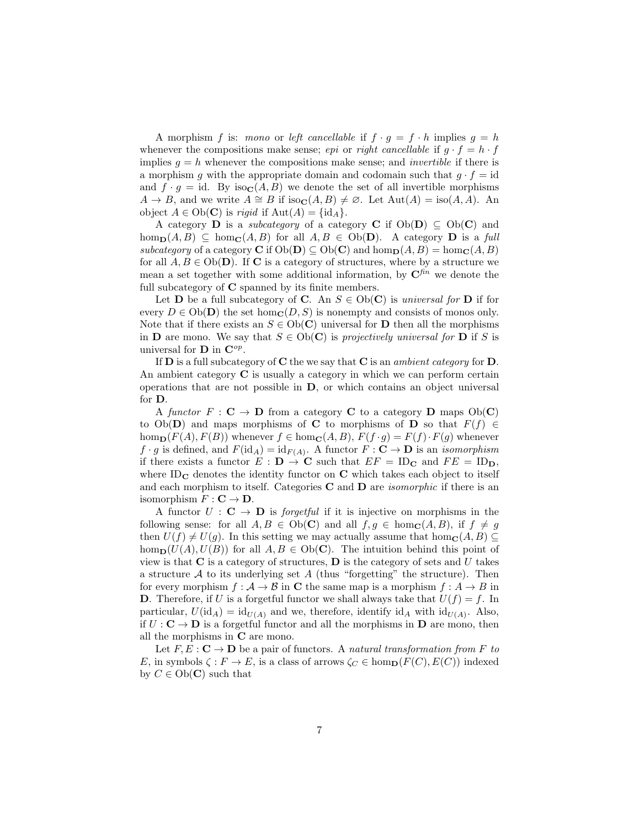A morphism f is: mono or left cancellable if  $f \cdot g = f \cdot h$  implies  $g = h$ whenever the compositions make sense; *epi* or *right cancellable* if  $g \cdot f = h \cdot f$ implies  $g = h$  whenever the compositions make sense; and *invertible* if there is a morphism g with the appropriate domain and codomain such that  $g \cdot f = id$ and  $f \cdot g = id$ . By iso $\mathbf{C}(A, B)$  we denote the set of all invertible morphisms  $A \to B$ , and we write  $A \cong B$  if iso $\mathbf{C}(A, B) \neq \emptyset$ . Let  $\text{Aut}(A) = \text{iso}(A, A)$ . An object  $A \in Ob(\mathbf{C})$  is rigid if  $Aut(A) = \{id_A\}.$ 

A category **D** is a *subcategory* of a category **C** if  $Ob(\mathbf{D}) \subseteq Ob(\mathbf{C})$  and  $hom_{\mathbf{D}}(A, B) \subseteq hom_{\mathbf{C}}(A, B)$  for all  $A, B \in Ob(\mathbf{D})$ . A category **D** is a full subcategory of a category C if  $Ob(D) \subseteq Ob(C)$  and  $hom_{\mathbf{D}}(A, B) = hom_{\mathbf{C}}(A, B)$ for all  $A, B \in Ob(\mathbf{D})$ . If **C** is a category of structures, where by a structure we mean a set together with some additional information, by  $\mathbf{C}^{\mathit{fin}}$  we denote the full subcategory of C spanned by its finite members.

Let **D** be a full subcategory of **C**. An  $S \in Ob(\mathbb{C})$  is universal for **D** if for every  $D \in Ob(\mathbf{D})$  the set hom $_{\mathbf{C}}(D, S)$  is nonempty and consists of monos only. Note that if there exists an  $S \in Ob(\mathbb{C})$  universal for **D** then all the morphisms in **D** are mono. We say that  $S \in Ob(\mathbb{C})$  is projectively universal for **D** if S is universal for **D** in  $\mathbf{C}^{op}$ .

If  $D$  is a full subcategory of  $C$  the we say that  $C$  is an *ambient category* for  $D$ . An ambient category  $C$  is usually a category in which we can perform certain operations that are not possible in  $D$ , or which contains an object universal for D.

A functor  $F : \mathbf{C} \to \mathbf{D}$  from a category **C** to a category **D** maps  $Ob(\mathbf{C})$ to Ob(D) and maps morphisms of C to morphisms of D so that  $F(f) \in$ hom $_{\mathbf{D}}(F(A), F(B))$  whenever  $f \in \text{hom}_{\mathbf{C}}(A, B)$ ,  $F(f \cdot g) = F(f) \cdot F(g)$  whenever  $f \cdot g$  is defined, and  $F(\mathrm{id}_A) = \mathrm{id}_{F(A)}$ . A functor  $F : \mathbf{C} \to \mathbf{D}$  is an *isomorphism* if there exists a functor  $E : D \to \mathbf{C}$  such that  $EF = ID_{\mathbf{C}}$  and  $FE = ID_{\mathbf{D}}$ , where  $ID_{\mathbf{C}}$  denotes the identity functor on  $\mathbf{C}$  which takes each object to itself and each morphism to itself. Categories  $C$  and  $D$  are *isomorphic* if there is an isomorphism  $F: \mathbf{C} \to \mathbf{D}$ .

A functor  $U : \mathbf{C} \to \mathbf{D}$  is *forgetful* if it is injective on morphisms in the following sense: for all  $A, B \in Ob(\mathbb{C})$  and all  $f, g \in hom_{\mathbb{C}}(A, B)$ , if  $f \neq g$ then  $U(f) \neq U(q)$ . In this setting we may actually assume that hom<sub>C</sub>(A, B) ⊂ hom $_D(U(A), U(B))$  for all  $A, B \in Ob(C)$ . The intuition behind this point of view is that  $C$  is a category of structures,  $D$  is the category of sets and U takes a structure  $A$  to its underlying set  $A$  (thus "forgetting" the structure). Then for every morphism  $f : \mathcal{A} \to \mathcal{B}$  in C the same map is a morphism  $f : \mathcal{A} \to \mathcal{B}$  in **D**. Therefore, if U is a forgetful functor we shall always take that  $U(f) = f$ . In particular,  $U(\mathrm{id}_A) = \mathrm{id}_{U(A)}$  and we, therefore, identify  $\mathrm{id}_A$  with  $\mathrm{id}_{U(A)}$ . Also, if  $U : \mathbf{C} \to \mathbf{D}$  is a forgetful functor and all the morphisms in  $\mathbf{D}$  are mono, then all the morphisms in C are mono.

Let  $F, E : \mathbf{C} \to \mathbf{D}$  be a pair of functors. A natural transformation from F to E, in symbols  $\zeta : F \to E$ , is a class of arrows  $\zeta_C \in \text{hom}_{\mathbf{D}}(F(C), E(C))$  indexed by  $C \in Ob(\mathbf{C})$  such that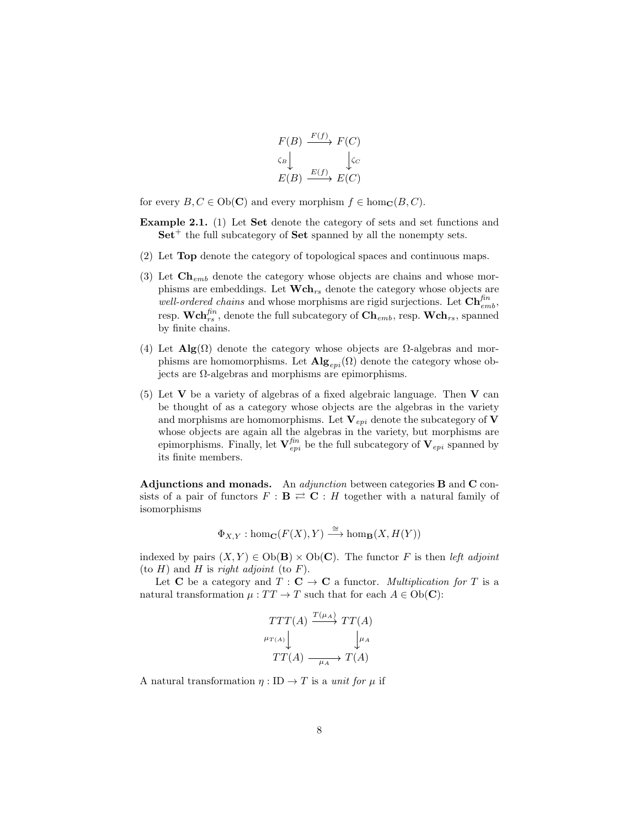$$
F(B) \xrightarrow{F(f)} F(C)
$$
  
\n
$$
\begin{array}{c} \n\downarrow & \downarrow c \\
E(B) \xrightarrow{E(f)} E(C)\n\end{array}
$$

for every  $B, C \in Ob(\mathbf{C})$  and every morphism  $f \in hom_{\mathbf{C}}(B, C)$ .

- Example 2.1. (1) Let Set denote the category of sets and set functions and  $Set^+$  the full subcategory of  $Set$  spanned by all the nonempty sets.
- (2) Let Top denote the category of topological spaces and continuous maps.
- (3) Let  $\mathbf{Ch}_{emb}$  denote the category whose objects are chains and whose morphisms are embeddings. Let  $\mathbf{Wch}_{rs}$  denote the category whose objects are well-ordered chains and whose morphisms are rigid surjections. Let  $\mathbf{Ch}^{\mathit{fin}}_{emb}$ , resp.  $\mathbf{Wch}_{rs}^{fin}$ , denote the full subcategory of  $\mathbf{Ch}_{emb}$ , resp.  $\mathbf{Wch}_{rs}$ , spanned by finite chains.
- (4) Let  $\mathbf{Alg}(\Omega)$  denote the category whose objects are  $\Omega$ -algebras and morphisms are homomorphisms. Let  $\mathbf{Alg}_{evi}(\Omega)$  denote the category whose objects are  $\Omega$ -algebras and morphisms are epimorphisms.
- (5) Let  $V$  be a variety of algebras of a fixed algebraic language. Then  $V$  can be thought of as a category whose objects are the algebras in the variety and morphisms are homomorphisms. Let  $V_{epi}$  denote the subcategory of V whose objects are again all the algebras in the variety, but morphisms are epimorphisms. Finally, let  $\mathbf{V}_{epi}^{fin}$  be the full subcategory of  $\mathbf{V}_{epi}$  spanned by its finite members.

Adjunctions and monads. An *adjunction* between categories **B** and **C** consists of a pair of functors  $F : \mathbf{B} \rightleftarrows \mathbf{C} : H$  together with a natural family of isomorphisms

$$
\Phi_{X,Y} : \hom_{\mathbf{C}}(F(X),Y) \xrightarrow{\cong} \hom_{\mathbf{B}}(X,H(Y))
$$

indexed by pairs  $(X, Y) \in Ob(B) \times Ob(C)$ . The functor F is then left adjoint (to  $H$ ) and  $H$  is right adjoint (to  $F$ ).

Let C be a category and  $T : \mathbf{C} \to \mathbf{C}$  a functor. *Multiplication for* T is a natural transformation  $\mu: TT \to T$  such that for each  $A \in Ob(\mathbf{C})$ :

$$
\begin{array}{c}\nTTT(A) \xrightarrow{T(\mu_A)} TT(A) \\
\downarrow^{\mu_{T(A)}} \downarrow^{\mu_A} \\
TT(A) \xrightarrow{\mu_A} T(A)\n\end{array}
$$

A natural transformation  $\eta : ID \to T$  is a unit for  $\mu$  if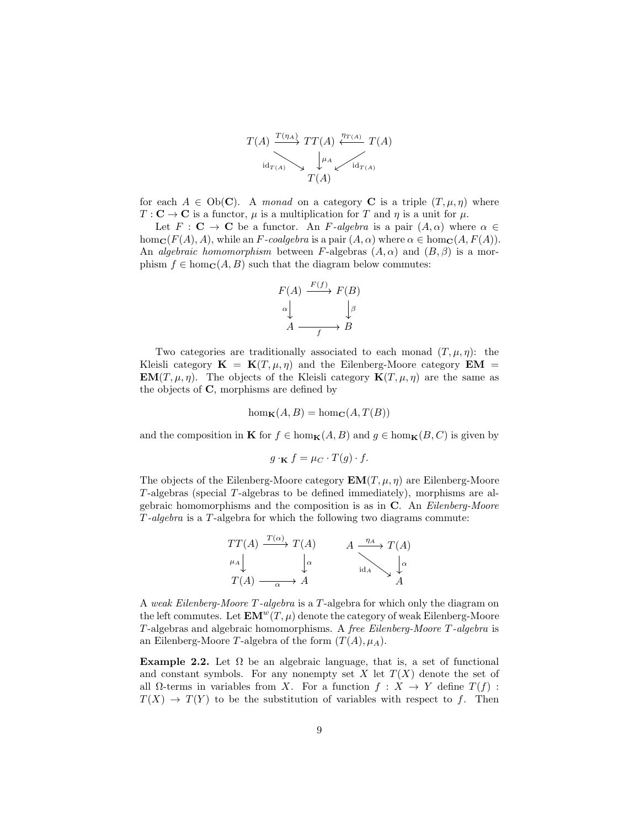$$
T(A) \xrightarrow{T(\eta_A)} TT(A) \xleftarrow{\eta_{T(A)}} T(A)
$$
  

$$
\downarrow^{\mu_A} \qquad \qquad \downarrow^{\eta_{T(A)}} T(A)
$$
  

$$
T(A)
$$

for each  $A \in Ob(C)$ . A monad on a category C is a triple  $(T, \mu, \eta)$  where  $T: \mathbf{C} \to \mathbf{C}$  is a functor,  $\mu$  is a multiplication for T and  $\eta$  is a unit for  $\mu$ .

Let  $F : \mathbf{C} \to \mathbf{C}$  be a functor. An F-algebra is a pair  $(A, \alpha)$  where  $\alpha \in$ hom<sub>C</sub>( $F(A)$ , A), while an F-coalgebra is a pair  $(A, \alpha)$  where  $\alpha \in \text{hom}_\mathbf{C}(A, F(A))$ . An *algebraic homomorphism* between F-algebras  $(A, \alpha)$  and  $(B, \beta)$  is a morphism  $f \in \text{hom}_\mathbf{C}(A, B)$  such that the diagram below commutes:

$$
F(A) \xrightarrow{F(f)} F(B)
$$
  
\n
$$
\alpha \downarrow \qquad \qquad \downarrow \beta
$$
  
\n
$$
A \xrightarrow{f} B
$$

Two categories are traditionally associated to each monad  $(T, \mu, \eta)$ : the Kleisli category  $\mathbf{K} = \mathbf{K}(T, \mu, \eta)$  and the Eilenberg-Moore category  $\mathbf{EM} =$  $\mathbf{EM}(T,\mu,\eta)$ . The objects of the Kleisli category  $\mathbf{K}(T,\mu,\eta)$  are the same as the objects of C, morphisms are defined by

$$
\hom_{\mathbf{K}}(A, B) = \hom_{\mathbf{C}}(A, T(B))
$$

and the composition in **K** for  $f \in \text{hom}_{\mathbf{K}}(A, B)$  and  $g \in \text{hom}_{\mathbf{K}}(B, C)$  is given by

 $g \cdot K f = \mu_C \cdot T(g) \cdot f.$ 

The objects of the Eilenberg-Moore category  $\mathbf{EM}(T, \mu, \eta)$  are Eilenberg-Moore T -algebras (special T -algebras to be defined immediately), morphisms are algebraic homomorphisms and the composition is as in C. An Eilenberg-Moore T -algebra is a T -algebra for which the following two diagrams commute:

$$
\begin{array}{ccc}\nTT(A) & \xrightarrow{T(\alpha)} T(A) & A & \xrightarrow{\eta_A} T(A) \\
\downarrow \downarrow \alpha & & \downarrow \alpha \\
T(A) & \xrightarrow{\alpha} A & & A\n\end{array}
$$

A weak Eilenberg-Moore T -algebra is a T -algebra for which only the diagram on the left commutes. Let  $\mathbf{EM}^w(T,\mu)$  denote the category of weak Eilenberg-Moore T -algebras and algebraic homomorphisms. A free Eilenberg-Moore T -algebra is an Eilenberg-Moore T-algebra of the form  $(T(A), \mu_A)$ .

<span id="page-8-0"></span>Example 2.2. Let  $\Omega$  be an algebraic language, that is, a set of functional and constant symbols. For any nonempty set  $X$  let  $T(X)$  denote the set of all  $\Omega$ -terms in variables from X. For a function  $f : X \to Y$  define  $T(f)$ :  $T(X) \to T(Y)$  to be the substitution of variables with respect to f. Then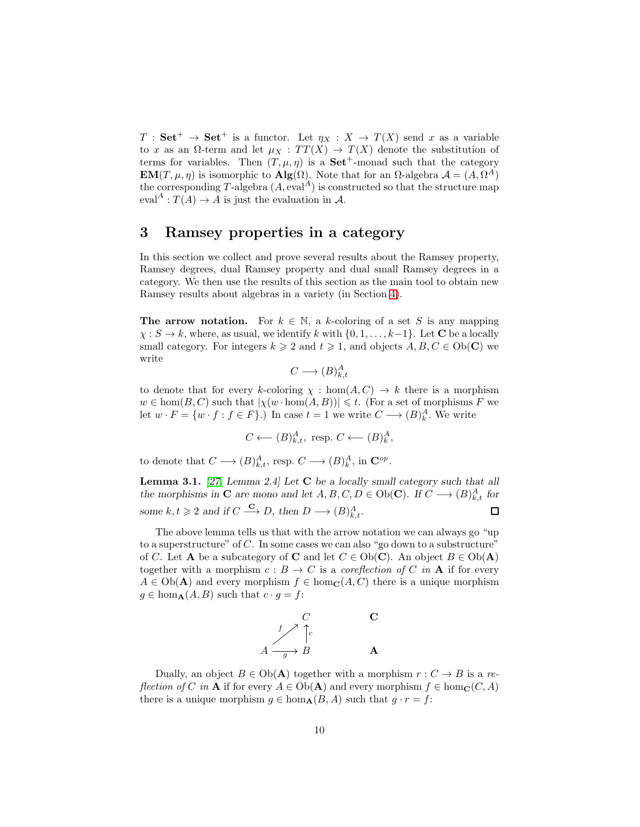$T : Set^+ \to Set^+$  is a functor. Let  $\eta_X : X \to T(X)$  send x as a variable to x as an  $\Omega$ -term and let  $\mu_X : TT(X) \to T(X)$  denote the substitution of terms for variables. Then  $(T, \mu, \eta)$  is a **Set<sup>+</sup>**-monad such that the category **EM**(T,  $\mu$ ,  $\eta$ ) is isomorphic to **Alg**( $\Omega$ ). Note that for an  $\Omega$ -algebra  $\mathcal{A} = (A, \Omega^A)$ the corresponding T-algebra  $(A, \text{eval}^A)$  is constructed so that the structure map eval<sup>A</sup> :  $T(A) \rightarrow A$  is just the evaluation in A.

## <span id="page-9-0"></span>3 Ramsey properties in a category

In this section we collect and prove several results about the Ramsey property, Ramsey degrees, dual Ramsey property and dual small Ramsey degrees in a category. We then use the results of this section as the main tool to obtain new Ramsey results about algebras in a variety (in Section [4\)](#page-16-0).

The arrow notation. For  $k \in \mathbb{N}$ , a k-coloring of a set S is any mapping  $\chi: S \to k$ , where, as usual, we identify k with  $\{0, 1, \ldots, k-1\}$ . Let C be a locally small category. For integers  $k \geqslant 2$  and  $t \geqslant 1$ , and objects  $A, B, C \in Ob(\mathbb{C})$  we write

$$
C \longrightarrow (B)^A_{k,t}
$$

to denote that for every k-coloring  $\chi : \text{hom}(A, C) \to k$  there is a morphism  $w \in \text{hom}(B, C)$  such that  $|\chi(w \cdot \text{hom}(A, B))| \leq t$ . (For a set of morphisms F we let  $w \cdot F = \{w \cdot f : f \in F\}$ .) In case  $t = 1$  we write  $C \longrightarrow (B)_k^A$ . We write

$$
C \longleftarrow (B)_{k,t}^A, \text{ resp. } C \longleftarrow (B)_k^A,
$$

to denote that  $C \longrightarrow (B)_{k,t}^A$ , resp.  $C \longrightarrow (B)_k^A$ , in  $\mathbb{C}^{op}$ .

<span id="page-9-1"></span>Lemma 3.1. *[\[27,](#page-30-6) Lemma 2.4] Let* C *be a locally small category such that all the morphisms in* **C** are mono and let  $A, B, C, D \in Ob(C)$ *.* If  $C \longrightarrow (B)_{k,t}^A$  for some  $k, t \geq 2$  and if  $C \stackrel{\mathbf{C}}{\longrightarrow} D$ , then  $D \longrightarrow (B)_{k,t}^A$ .  $\Box$ 

The above lemma tells us that with the arrow notation we can always go "up to a superstructure" of  $C$ . In some cases we can also "go down to a substructure" of C. Let **A** be a subcategory of **C** and let  $C \in Ob(\mathbf{C})$ . An object  $B \in Ob(\mathbf{A})$ together with a morphism  $c : B \to C$  is a *coreflection of C in* **A** if for every  $A \in Ob(\mathbf{A})$  and every morphism  $f \in \text{hom}_{\mathbf{C}}(A, C)$  there is a unique morphism  $g \in \hom_{\mathbf{A}}(A, B)$  such that  $c \cdot g = f$ :

$$
\begin{array}{ccc}\n & C & & \mathbf{C} \\
 & f & \uparrow_c & \\
A & \xrightarrow{g} & B & \mathbf{A}\n\end{array}
$$

Dually, an object  $B \in Ob(A)$  together with a morphism  $r : C \to B$  is a reflection of C in **A** if for every  $A \in Ob(A)$  and every morphism  $f \in hom_{\mathbf{C}}(C, A)$ there is a unique morphism  $g \in \hom_{\mathbf{A}}(B, A)$  such that  $g \cdot r = f$ :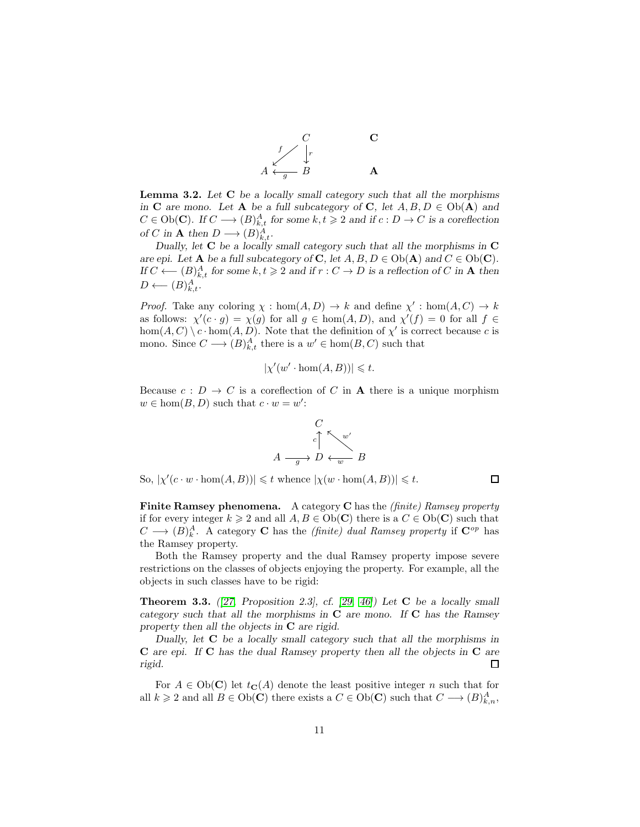

<span id="page-10-1"></span>Lemma 3.2. *Let* C *be a locally small category such that all the morphisms in* **C** are mono. Let **A** *be a full subcategory of* **C**, let  $A, B, D \in Ob(A)$  and  $C \in Ob(\mathbf{C})$ *.* If  $C \longrightarrow (B)_{k,t}^A$  for some  $k, t \geq 2$  and if  $c : D \rightarrow C$  is a coreflection *of* C in **A** then  $D \longrightarrow (B)_{k,t}^A$ .

*Dually, let* C *be a locally small category such that all the morphisms in* C *are epi.* Let **A** *be a full subcategory of* **C**, let  $A, B, D \in Ob(A)$  *and*  $C \in Ob(C)$ *. If*  $C$  ←  $(B)_{k,t}^A$  for some  $k, t \ge 2$  *and if*  $r : C \to D$  *is a reflection of*  $C$  *in* **A** *then*  $D \longleftarrow (B)_{k,t}^A$ .

*Proof.* Take any coloring  $\chi : \text{hom}(A, D) \to k$  and define  $\chi' : \text{hom}(A, C) \to k$ as follows:  $\chi'(c \cdot g) = \chi(g)$  for all  $g \in \text{hom}(A, D)$ , and  $\chi'(f) = 0$  for all  $f \in$  $hom(A, C) \setminus c \cdot hom(A, D)$ . Note that the definition of  $\chi'$  is correct because c is mono. Since  $C \longrightarrow (B)_{k,t}^A$  there is a  $w' \in \text{hom}(B, C)$  such that

$$
|\chi'(w'\cdot\hom(A,B))|\leq t.
$$

Because  $c: D \to C$  is a coreflection of C in **A** there is a unique morphism  $w \in \text{hom}(B, D)$  such that  $c \cdot w = w'$ :



So,  $|\chi'(c \cdot w \cdot \hom(A, B))| \leq t$  whence  $|\chi(w \cdot \hom(A, B))| \leq t$ .

 $\Box$ 

Finite Ramsey phenomena. A category C has the *(finite) Ramsey property* if for every integer  $k \geq 2$  and all  $A, B \in Ob(\mathbf{C})$  there is a  $C \in Ob(\mathbf{C})$  such that  $C \longrightarrow (B)^A_k$ . A category **C** has the *(finite) dual Ramsey property* if  $\mathbb{C}^{op}$  has the Ramsey property.

Both the Ramsey property and the dual Ramsey property impose severe restrictions on the classes of objects enjoying the property. For example, all the objects in such classes have to be rigid:

<span id="page-10-0"></span>Theorem 3.3. *([\[27,](#page-30-6) Proposition 2.3], cf. [\[29,](#page-30-5) [46\]](#page-31-2)) Let* C *be a locally small category such that all the morphisms in* C *are mono. If* C *has the Ramsey property then all the objects in* C *are rigid.*

*Dually, let* C *be a locally small category such that all the morphisms in* C *are epi. If* C *has the dual Ramsey property then all the objects in* C *are rigid.* □

For  $A \in Ob(C)$  let  $t_{\mathbf{C}}(A)$  denote the least positive integer n such that for all  $k \geq 2$  and all  $B \in Ob(\mathbf{C})$  there exists a  $C \in Ob(\mathbf{C})$  such that  $C \longrightarrow (B)_{k,n}^A$ ,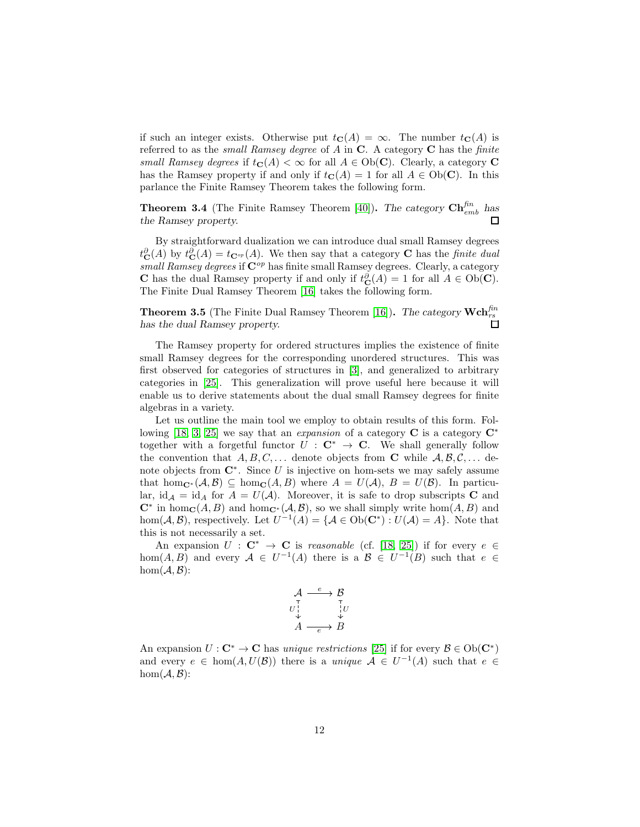if such an integer exists. Otherwise put  $t_{\mathbf{C}}(A) = \infty$ . The number  $t_{\mathbf{C}}(A)$  is referred to as the *small Ramsey degree* of  $A$  in  $C$ . A category  $C$  has the *finite* small Ramsey degrees if  $t_{\mathbf{C}}(A) < \infty$  for all  $A \in Ob(\mathbf{C})$ . Clearly, a category **C** has the Ramsey property if and only if  $t_{\mathbf{C}}(A) = 1$  for all  $A \in Ob(\mathbf{C})$ . In this parlance the Finite Ramsey Theorem takes the following form.

**Theorem 3.4** (The Finite Ramsey Theorem [\[40\]](#page-31-9)). *The category*  $\mathbf{Ch}^{\text{fin}}_{emb}$  has *the Ramsey property.*

By straightforward dualization we can introduce dual small Ramsey degrees  $t_{\mathbf{C}}^{\partial}(A)$  by  $t_{\mathbf{C}}^{\partial}(A) = t_{\mathbf{C}^{op}}(A)$ . We then say that a category **C** has the *finite dual* small Ramsey degrees if  $\mathbb{C}^{op}$  has finite small Ramsey degrees. Clearly, a category **C** has the dual Ramsey property if and only if  $t_{\mathbf{C}}^{\partial}(A) = 1$  for all  $A \in Ob(\mathbf{C})$ . The Finite Dual Ramsey Theorem [\[16\]](#page-29-5) takes the following form.

**Theorem 3.5** (The Finite Dual Ramsey Theorem [\[16\]](#page-29-5)). The category  $\mathbf{Wch}_{rs}^{fin}$ *has the dual Ramsey property.*

The Ramsey property for ordered structures implies the existence of finite small Ramsey degrees for the corresponding unordered structures. This was first observed for categories of structures in [\[3\]](#page-28-2), and generalized to arbitrary categories in [\[25\]](#page-30-11). This generalization will prove useful here because it will enable us to derive statements about the dual small Ramsey degrees for finite algebras in a variety.

Let us outline the main tool we employ to obtain results of this form. Fol-lowing [\[18,](#page-29-2) [3,](#page-28-2) [25\]](#page-30-11) we say that an *expansion* of a category  $\mathbb{C}$  is a category  $\mathbb{C}^*$ together with a forgetful functor  $U : \mathbf{C}^* \to \mathbf{C}$ . We shall generally follow the convention that  $A, B, C, \ldots$  denote objects from **C** while  $A, B, C, \ldots$  denote objects from  $\mathbb{C}^*$ . Since U is injective on hom-sets we may safely assume that hom<sub>C</sub>∗ (A, B)  $\subseteq$  hom<sub>C</sub>(A, B) where  $A = U(\mathcal{A}), B = U(\mathcal{B})$ . In particular, id<sub>A</sub> = id<sub>A</sub> for  $A = U(A)$ . Moreover, it is safe to drop subscripts **C** and  $\mathbb{C}^*$  in hom $_{\mathbb{C}}(A, B)$  and hom $_{\mathbb{C}^*}(A, B)$ , so we shall simply write hom $(A, B)$  and hom( $A, B$ ), respectively. Let  $U^{-1}(A) = \{A \in Ob(\mathbf{C}^*) : U(A) = A\}$ . Note that this is not necessarily a set.

An expansion  $U : \mathbf{C}^* \to \mathbf{C}$  is *reasonable* (cf. [\[18,](#page-29-2) [25\]](#page-30-11)) if for every  $e \in \mathbb{C}$ hom $(A, B)$  and every  $A \in U^{-1}(A)$  there is a  $B \in U^{-1}(B)$  such that  $e \in$  $hom(\mathcal{A}, \mathcal{B})$ :

$$
\begin{array}{ccc}\n\mathcal{A} & \xrightarrow{e} & \mathcal{B} \\
\uparrow & & \uparrow \\
U_{\downarrow} & & \downarrow \\
A & \xrightarrow{e} & B\n\end{array}
$$

An expansion  $U : \mathbf{C}^* \to \mathbf{C}$  has unique restrictions [\[25\]](#page-30-11) if for every  $\mathcal{B} \in Ob(\mathbf{C}^*)$ and every  $e \in \text{hom}(A, U(B))$  there is a unique  $A \in U^{-1}(A)$  such that  $e \in$  $hom(\mathcal{A}, \mathcal{B})$ :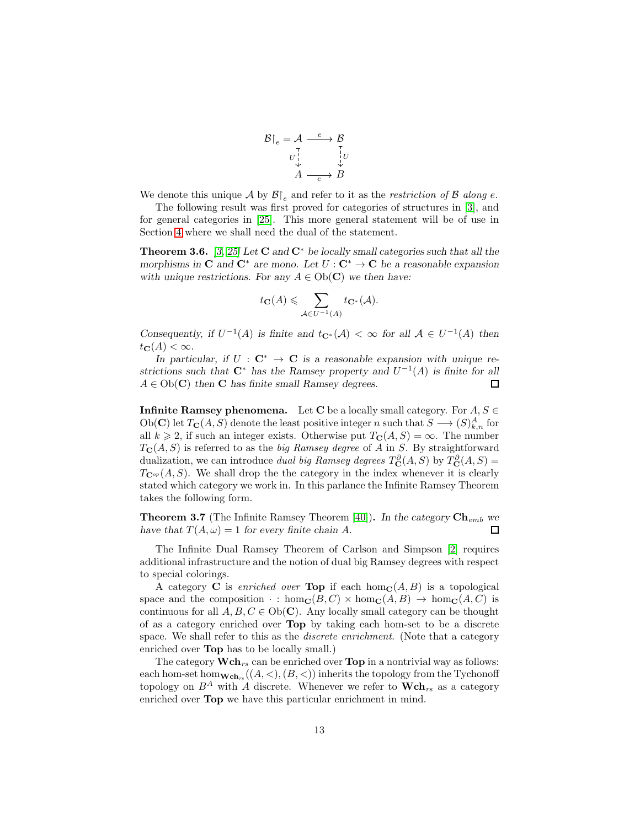$$
\mathcal{B}|_e = \mathcal{A} \xrightarrow{e} \mathcal{B} \nU \downarrow^{\top} \downarrow^{\top} U \downarrow^{\top} \n\mathcal{A} \xrightarrow{e} \mathcal{B}
$$

We denote this unique A by  $\mathcal{B} \upharpoonright_{e}$  and refer to it as the restriction of B along e.

The following result was first proved for categories of structures in [\[3\]](#page-28-2), and for general categories in [\[25\]](#page-30-11). This more general statement will be of use in Section [4](#page-16-0) where we shall need the dual of the statement.

<span id="page-12-0"></span>Theorem 3.6. *[\[3,](#page-28-2) [25\]](#page-30-11) Let* C *and* C<sup>∗</sup> *be locally small categories such that all the morphisms in* C and  $C^*$  *are mono.* Let  $U: C^* \to C$  be a reasonable expansion *with unique restrictions. For any*  $A \in Ob(\mathbb{C})$  *we then have:* 

$$
t_{\mathbf{C}}(A) \leqslant \sum_{\mathcal{A} \in U^{-1}(A)} t_{\mathbf{C}^*}(\mathcal{A}).
$$

*Consequently, if*  $U^{-1}(A)$  *is finite and*  $t_{\mathbf{C}^*}(A) < \infty$  *for all*  $A \in U^{-1}(A)$  *then*  $t_{\mathbf{C}}(A) < \infty$ .

*In particular, if*  $U : \mathbf{C}^* \to \mathbf{C}$  *is a reasonable expansion with unique restrictions such that*  $C^*$  *has the Ramsey property and*  $U^{-1}(A)$  *is finite for all*  $A \in Ob(\mathbf{C})$  then **C** has finite small Ramsey degrees. □

**Infinite Ramsey phenomena.** Let C be a locally small category. For  $A, S \in$ Ob(C) let  $T_{\mathbf{C}}(A, S)$  denote the least positive integer n such that  $S \longrightarrow (S)_{k,n}^A$  for all  $k \geq 2$ , if such an integer exists. Otherwise put  $T_{\mathbf{C}}(A, S) = \infty$ . The number  $T_{\mathbf{C}}(A, S)$  is referred to as the *big Ramsey degree* of A in S. By straightforward dualization, we can introduce *dual big Ramsey degrees*  $T_{\mathbf{C}}^{\partial}(A, S)$  by  $T_{\mathbf{C}}^{\partial}(A, S)$  =  $T_{\mathbf{C}^{op}}(A, S)$ . We shall drop the the category in the index whenever it is clearly stated which category we work in. In this parlance the Infinite Ramsey Theorem takes the following form.

**Theorem 3.7** (The Infinite Ramsey Theorem [\[40\]](#page-31-9)). In the category  $\mathbf{Ch}_{emb}$  we *have that*  $T(A, \omega) = 1$  *for every finite chain A.*  $\Box$ 

The Infinite Dual Ramsey Theorem of Carlson and Simpson [\[2\]](#page-28-3) requires additional infrastructure and the notion of dual big Ramsey degrees with respect to special colorings.

A category C is *enriched over* Top if each hom<sub>C</sub> $(A, B)$  is a topological space and the composition  $\cdot$ : hom<sub>C</sub>(B, C)  $\times$  hom<sub>C</sub>(A, B)  $\rightarrow$  hom<sub>C</sub>(A, C) is continuous for all  $A, B, C \in Ob(\mathbb{C})$ . Any locally small category can be thought of as a category enriched over Top by taking each hom-set to be a discrete space. We shall refer to this as the *discrete enrichment*. (Note that a category enriched over Top has to be locally small.)

The category  $\mathbf{Wch}_{rs}$  can be enriched over **Top** in a nontrivial way as follows: each hom-set hom $\mathbf{wch}_{rs}((A,<), (B, <))$  inherits the topology from the Tychonoff topology on  $B^A$  with A discrete. Whenever we refer to  $\mathbf{Wch}_{rs}$  as a category enriched over Top we have this particular enrichment in mind.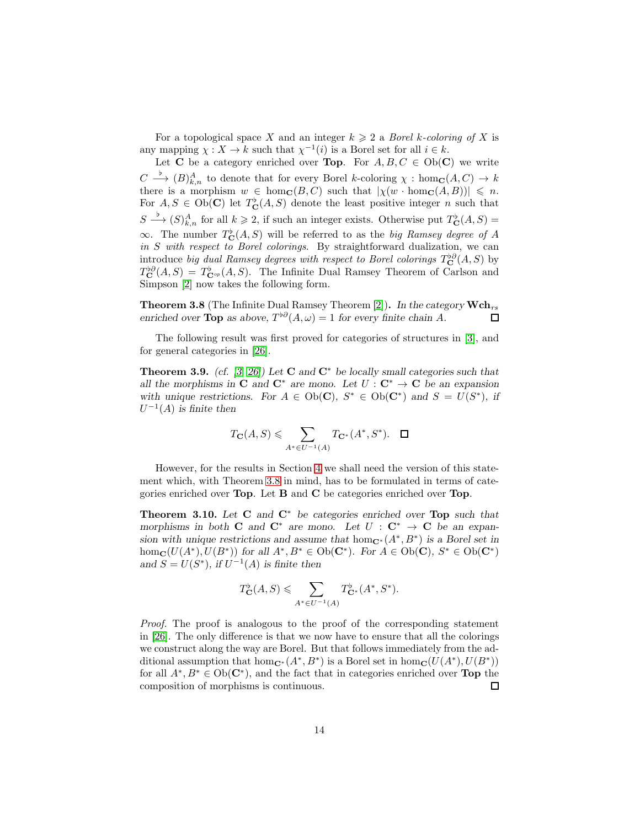For a topological space X and an integer  $k \geq 2$  a Borel k-coloring of X is any mapping  $\chi: X \to k$  such that  $\chi^{-1}(i)$  is a Borel set for all  $i \in k$ .

Let **C** be a category enriched over **Top**. For  $A, B, C \in Ob(\mathbb{C})$  we write  $C \stackrel{\flat}{\longrightarrow} (B)_{k,n}^A$  to denote that for every Borel k-coloring  $\chi : \hom_{\mathbf{C}}(A, C) \to k$ there is a morphism  $w \in \text{hom}_{\mathbf{C}}(B, C)$  such that  $|\chi(w \cdot \text{hom}_{\mathbf{C}}(A, B))| \leq n$ . For  $A, S \in Ob(C)$  let  $T_{\mathbf{C}}^{\flat}(A, S)$  denote the least positive integer n such that  $S \xrightarrow{b} (S)_{k,n}^A$  for all  $k \geqslant 2$ , if such an integer exists. Otherwise put  $T_{\mathbf{C}}^{\flat}(A, S) =$ ∞. The number  $T_C^{\flat}(A, S)$  will be referred to as the *big Ramsey degree of A* in  $S$  with respect to Borel colorings. By straightforward dualization, we can introduce big dual Ramsey degrees with respect to Borel colorings  $T_{\bf C}^{\flat\partial}(A, S)$  by  $T_{\bf C}^{\flat\partial}(A,S) = T_{\bf C}^{\flat}(\Lambda,S)$ . The Infinite Dual Ramsey Theorem of Carlson and Simpson [\[2\]](#page-28-3) now takes the following form.

<span id="page-13-0"></span>**Theorem 3.8** (The Infinite Dual Ramsey Theorem [\[2\]](#page-28-3)). In the category  $\mathbf{Wch}_{rs}$ *enriched over* **Top** *as above*,  $T^{\flat\partial}(A,\omega) = 1$  *for every finite chain A*.  $\Box$ 

The following result was first proved for categories of structures in [\[3\]](#page-28-2), and for general categories in [\[26\]](#page-30-12).

Theorem 3.9. *(cf. [\[3,](#page-28-2) [26\]](#page-30-12)) Let* C *and* C<sup>∗</sup> *be locally small categories such that all the morphisms in* C *and*  $C^*$  *are mono.* Let  $U: C^* \to C$  *be an expansion* with unique restrictions. For  $A \in Ob(C)$ ,  $S^* \in Ob(C^*)$  and  $S = U(S^*)$ , if  $U^{-1}(A)$  *is finite then* 

$$
T_{\mathbf{C}}(A,S) \leqslant \sum_{A^* \in U^{-1}(A)} T_{\mathbf{C}^*}(A^*,S^*). \quad \Box
$$

However, for the results in Section [4](#page-16-0) we shall need the version of this statement which, with Theorem [3.8](#page-13-0) in mind, has to be formulated in terms of categories enriched over Top. Let B and C be categories enriched over Top.

<span id="page-13-1"></span>Theorem 3.10. *Let* C *and* C<sup>∗</sup> *be categories enriched over* Top *such that morphisms in both* **C** *and*  $\mathbb{C}^*$  *are mono.* Let  $U : \mathbb{C}^* \to \mathbb{C}$  be an expan*sion with unique restrictions and assume that*  $hom_{\mathbf{C}^*}(A^*, B^*)$  *is a Borel set in*  $hom_{\mathbf{C}}(U(A^*), U(B^*))$  *for all*  $A^*, B^* \in Ob(\mathbf{C}^*)$ *. For*  $A \in Ob(\mathbf{C})$ *,*  $S^* \in Ob(\mathbf{C}^*)$ and  $S = U(S^*)$ , if  $U^{-1}(A)$  is finite then

$$
T_{\mathbf{C}}^{\flat}(A,S) \leqslant \sum_{A^* \in U^{-1}(A)} T_{\mathbf{C}^*}^{\flat}(A^*,S^*).
$$

Proof. The proof is analogous to the proof of the corresponding statement in [\[26\]](#page-30-12). The only difference is that we now have to ensure that all the colorings we construct along the way are Borel. But that follows immediately from the additional assumption that  $hom_{\mathbf{C}^*}(A^*, B^*)$  is a Borel set in  $hom_{\mathbf{C}}(U(A^*), U(B^*))$ for all  $A^*, B^* \in Ob(\mathbb{C}^*)$ , and the fact that in categories enriched over **Top** the composition of morphisms is continuous. □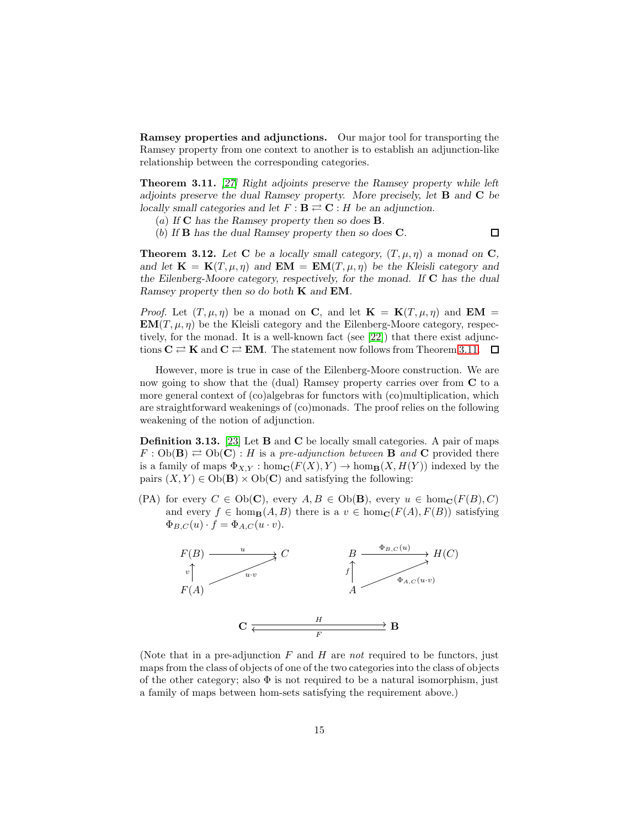Ramsey properties and adjunctions. Our major tool for transporting the Ramsey property from one context to another is to establish an adjunction-like relationship between the corresponding categories.

<span id="page-14-0"></span>Theorem 3.11. *[\[27\]](#page-30-6) Right adjoints preserve the Ramsey property while left adjoints preserve the dual Ramsey property. More precisely, let* B *and* C *be locally small categories and let*  $F : \mathbf{B} \rightleftarrows \mathbf{C} : H$  *be an adjunction.* 

(a) *If* C *has the Ramsey property then so does* B*.*

(b) *If* B *has the dual Ramsey property then so does* C*.*

 $\Box$ 

**Theorem 3.12.** Let **C** be a locally small category,  $(T, \mu, \eta)$  a monad on **C**, *and let*  $\mathbf{K} = \mathbf{K}(T, \mu, \eta)$  *and*  $\mathbf{EM} = \mathbf{EM}(T, \mu, \eta)$  *be the Kleisli category and the Eilenberg-Moore category, respectively, for the monad. If* C *has the dual Ramsey property then so do both* K *and* EM*.*

*Proof.* Let  $(T, \mu, \eta)$  be a monad on C, and let  $\mathbf{K} = \mathbf{K}(T, \mu, \eta)$  and  $\mathbf{EM} =$  $EM(T, \mu, \eta)$  be the Kleisli category and the Eilenberg-Moore category, respectively, for the monad. It is a well-known fact (see [\[22\]](#page-30-13)) that there exist adjunctions  $C \rightleftarrows K$  and  $C \rightleftarrows EM$ . The statement now follows from Theorem [3.11.](#page-14-0)  $\Box$ 

However, more is true in case of the Eilenberg-Moore construction. We are now going to show that the (dual) Ramsey property carries over from C to a more general context of (co)algebras for functors with (co)multiplication, which are straightforward weakenings of (co)monads. The proof relies on the following weakening of the notion of adjunction.

<span id="page-14-1"></span>Definition 3.13. [\[23\]](#page-30-14) Let B and C be locally small categories. A pair of maps  $F: Ob(\mathbf{B}) \rightleftarrows Ob(\mathbf{C}): H$  is a pre-adjunction between **B** and **C** provided there is a family of maps  $\Phi_{X,Y}$ : hom $_{\mathbf{C}}(F(X), Y) \to \text{hom}_{\mathbf{B}}(X, H(Y))$  indexed by the pairs  $(X, Y) \in Ob(B) \times Ob(C)$  and satisfying the following:

(PA) for every  $C \in Ob(\mathbf{C})$ , every  $A, B \in Ob(\mathbf{B})$ , every  $u \in hom_{\mathbf{C}}(F(B), C)$ and every  $f \in \text{hom}_{\mathbf{B}}(A, B)$  there is a  $v \in \text{hom}_{\mathbf{C}}(F(A), F(B))$  satisfying  $\Phi_{B,C}(u) \cdot f = \Phi_{A,C}(u \cdot v).$ 



(Note that in a pre-adjunction  $F$  and  $H$  are not required to be functors, just maps from the class of objects of one of the two categories into the class of objects of the other category; also  $\Phi$  is not required to be a natural isomorphism, just a family of maps between hom-sets satisfying the requirement above.)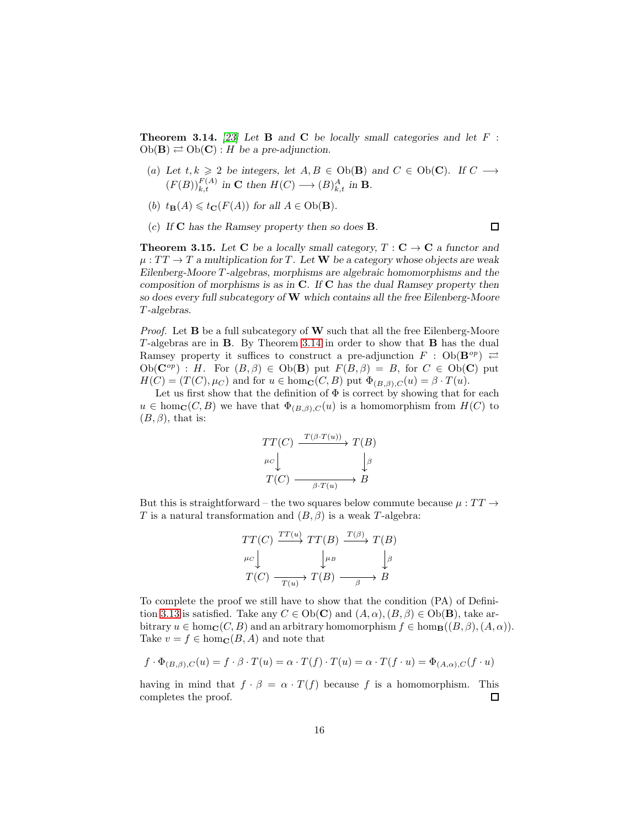<span id="page-15-0"></span>Theorem 3.14. *[\[23\]](#page-30-14) Let* B *and* C *be locally small categories and let* F :  $Ob(\mathbf{B}) \rightleftarrows Ob(\mathbf{C}) : H$  *be a pre-adjunction.* 

(a) Let  $t, k \geq 2$  be integers, let  $A, B \in Ob(\mathbf{B})$  and  $C \in Ob(\mathbf{C})$ . If  $C \longrightarrow$  $(F(B))_{k,t}^{F(A)}$  in **C** then  $H(C) \longrightarrow (B)_{k,t}^{A}$  in **B**.

 $\Box$ 

- (b)  $t_{\mathbf{B}}(A) \leq t_{\mathbf{C}}(F(A))$  *for all*  $A \in Ob(\mathbf{B})$ *.*
- (c) *If* C *has the Ramsey property then so does* B*.*

<span id="page-15-1"></span>**Theorem 3.15.** Let **C** be a locally small category,  $T : \mathbf{C} \to \mathbf{C}$  a functor and  $\mu:TT\to T$  *a* multiplication for T. Let **W** be a category whose objects are weak *Eilenberg-Moore* T *-algebras, morphisms are algebraic homomorphisms and the composition of morphisms is as in* C*. If* C *has the dual Ramsey property then so does every full subcategory of* W *which contains all the free Eilenberg-Moore* T *-algebras.*

*Proof.* Let  $B$  be a full subcategory of  $W$  such that all the free Eilenberg-Moore T -algebras are in B. By Theorem [3.14](#page-15-0) in order to show that B has the dual Ramsey property it suffices to construct a pre-adjunction  $F : Ob(\mathbf{B}^{op}) \nightharpoonup$  $Ob(\mathbf{C}^{op})$ : H. For  $(B, \beta) \in Ob(\mathbf{B})$  put  $F(B, \beta) = B$ , for  $C \in Ob(\mathbf{C})$  put  $H(C) = (T(C), \mu_C)$  and for  $u \in \text{hom}_{\mathbf{C}}(C, B)$  put  $\Phi_{(B,\beta),C}(u) = \beta \cdot T(u)$ .

Let us first show that the definition of  $\Phi$  is correct by showing that for each  $u \in \text{hom}_{\mathbb{C}}(C, B)$  we have that  $\Phi_{(B, \beta), C}(u)$  is a homomorphism from  $H(C)$  to  $(B, \beta)$ , that is:

$$
TT(C) \xrightarrow{T(\beta \cdot T(u))} T(B)
$$
  
\n
$$
\mu_C \downarrow \qquad \qquad \downarrow \beta
$$
  
\n
$$
T(C) \xrightarrow{\beta \cdot T(u)} B
$$

But this is straightforward – the two squares below commute because  $\mu : TT \rightarrow$ T is a natural transformation and  $(B, \beta)$  is a weak T-algebra:

$$
TT(C) \xrightarrow{TT(u)} TT(B) \xrightarrow{T(\beta)} T(B)
$$
  
\n
$$
\downarrow^{\mu} B \qquad \qquad \downarrow^{\beta}
$$
  
\n
$$
T(C) \xrightarrow{T(u)} T(B) \xrightarrow{\beta} B
$$

To complete the proof we still have to show that the condition (PA) of Defini-tion [3.13](#page-14-1) is satisfied. Take any  $C \in Ob(\mathbf{C})$  and  $(A, \alpha), (B, \beta) \in Ob(\mathbf{B})$ , take arbitrary  $u \in \text{hom}_{\mathbf{C}}(C, B)$  and an arbitrary homomorphism  $f \in \text{hom}_{\mathbf{B}}((B, \beta), (A, \alpha)).$ Take  $v = f \in \text{hom}_{\mathbb{C}}(B, A)$  and note that

$$
f \cdot \Phi_{(B,\beta),C}(u) = f \cdot \beta \cdot T(u) = \alpha \cdot T(f) \cdot T(u) = \alpha \cdot T(f \cdot u) = \Phi_{(A,\alpha),C}(f \cdot u)
$$

having in mind that  $f \cdot \beta = \alpha \cdot T(f)$  because f is a homomorphism. This completes the proof.  $\Box$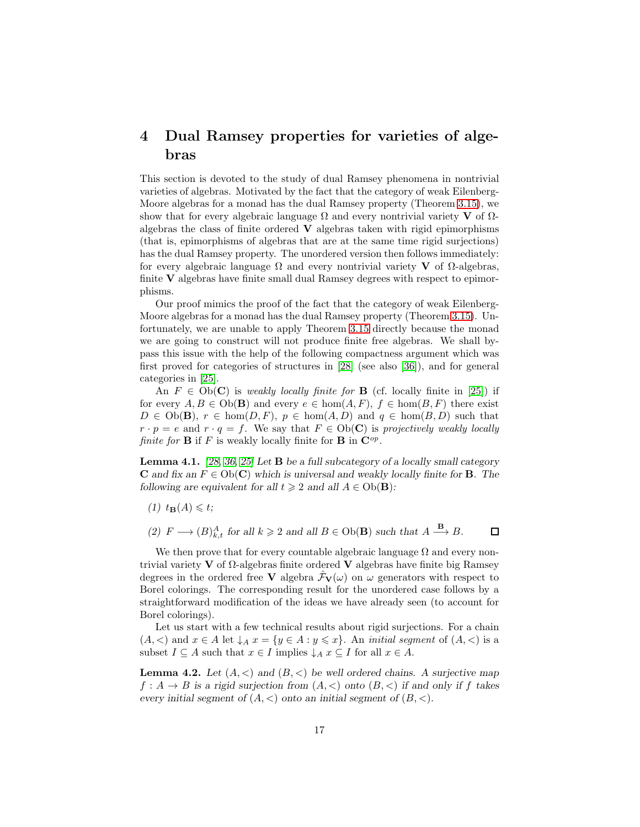# <span id="page-16-0"></span>4 Dual Ramsey properties for varieties of algebras

This section is devoted to the study of dual Ramsey phenomena in nontrivial varieties of algebras. Motivated by the fact that the category of weak Eilenberg-Moore algebras for a monad has the dual Ramsey property (Theorem [3.15\)](#page-15-1), we show that for every algebraic language  $\Omega$  and every nontrivial variety **V** of  $\Omega$ algebras the class of finite ordered  $V$  algebras taken with rigid epimorphisms (that is, epimorphisms of algebras that are at the same time rigid surjections) has the dual Ramsey property. The unordered version then follows immediately: for every algebraic language  $\Omega$  and every nontrivial variety **V** of  $\Omega$ -algebras, finite V algebras have finite small dual Ramsey degrees with respect to epimorphisms.

Our proof mimics the proof of the fact that the category of weak Eilenberg-Moore algebras for a monad has the dual Ramsey property (Theorem [3.15\)](#page-15-1). Unfortunately, we are unable to apply Theorem [3.15](#page-15-1) directly because the monad we are going to construct will not produce finite free algebras. We shall bypass this issue with the help of the following compactness argument which was first proved for categories of structures in [\[28\]](#page-30-15) (see also [\[36\]](#page-31-0)), and for general categories in [\[25\]](#page-30-11).

An  $F \in Ob(\mathbf{C})$  is weakly locally finite for **B** (cf. locally finite in [\[25\]](#page-30-11)) if for every  $A, B \in Ob(\mathbf{B})$  and every  $e \in \text{hom}(A, F), f \in \text{hom}(B, F)$  there exist  $D \in Ob(\mathbf{B}), r \in hom(D, F), p \in hom(A, D)$  and  $q \in hom(B, D)$  such that  $r \cdot p = e$  and  $r \cdot q = f$ . We say that  $F \in Ob(\mathbf{C})$  is projectively weakly locally finite for **B** if F is weakly locally finite for **B** in  $\mathbf{C}^{op}$ .

<span id="page-16-1"></span>Lemma 4.1. *[\[28,](#page-30-15) [36,](#page-31-0) [25\]](#page-30-11) Let* B *be a full subcategory of a locally small category* **C** and fix an  $F \in Ob(C)$  which is universal and weakly locally finite for **B**. The *following are equivalent for all*  $t \geq 2$  *and all*  $A \in Ob(\mathbf{B})$ *:* 

- $(1)$   $t_{\mathbf{B}}(A) \leqslant t$ ;
- (2)  $F \longrightarrow (B)_{k,t}^A$  *for all*  $k \geq 2$  *and all*  $B \in Ob(\mathbf{B})$  *such that*  $A \xrightarrow{\mathbf{B}} B$ .  $\Box$

We then prove that for every countable algebraic language  $\Omega$  and every nontrivial variety V of  $\Omega$ -algebras finite ordered V algebras have finite big Ramsey degrees in the ordered free V algebra  $\mathcal{F}_{V}(\omega)$  on  $\omega$  generators with respect to Borel colorings. The corresponding result for the unordered case follows by a straightforward modification of the ideas we have already seen (to account for Borel colorings).

Let us start with a few technical results about rigid surjections. For a chain  $(A, \leq)$  and  $x \in A$  let  $\downarrow_A x = \{y \in A : y \leq x\}$ . An *initial segment* of  $(A, \leq)$  is a subset  $I \subseteq A$  such that  $x \in I$  implies  $\downarrow_A x \subseteq I$  for all  $x \in A$ .

**Lemma 4.2.** Let  $(A, \leq)$  and  $(B, \leq)$  be well ordered chains. A surjective map  $f: A \to B$  is a rigid surjection from  $(A, \leq)$  onto  $(B, \leq)$  if and only if f takes *every initial segment of*  $(A, \leq)$  *onto an initial segment of*  $(B, \leq)$ *.*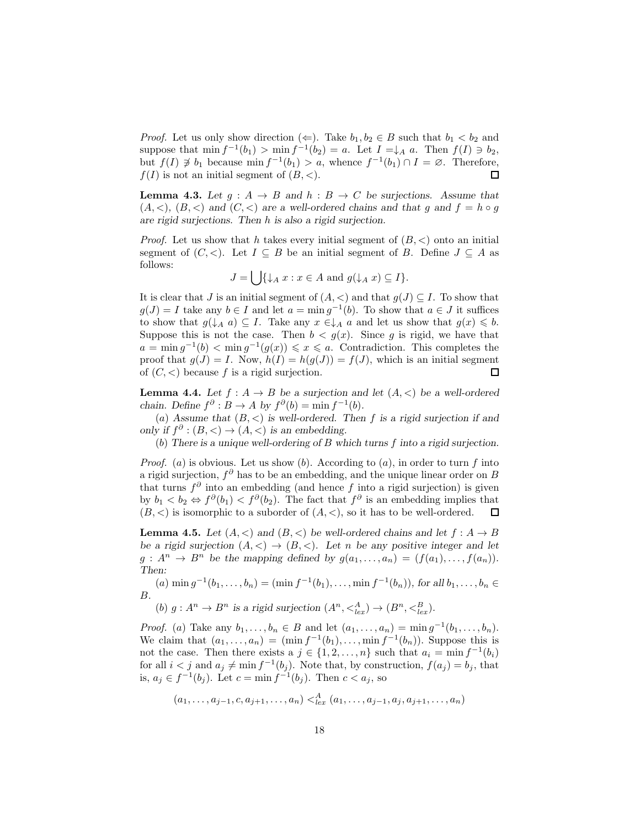*Proof.* Let us only show direction  $(\Leftarrow)$ . Take  $b_1, b_2 \in B$  such that  $b_1 < b_2$  and suppose that  $\min f^{-1}(b_1) > \min f^{-1}(b_2) = a$ . Let  $I = \downarrow_A a$ . Then  $f(I) \ni b_2$ , but  $f(I) \not\supseteq b_1$  because  $\min f^{-1}(b_1) > a$ , whence  $f^{-1}(b_1) \cap I = \emptyset$ . Therefore,  $f(I)$  is not an initial segment of  $(B, <)$ . □

<span id="page-17-2"></span>**Lemma 4.3.** Let  $g: A \rightarrow B$  and  $h: B \rightarrow C$  be surjections. Assume that  $(A, \leq), (B, \leq)$  and  $(C, \leq)$  are a well-ordered chains and that g and  $f = h \circ g$ *are rigid surjections. Then* h *is also a rigid surjection.*

*Proof.* Let us show that h takes every initial segment of  $(B, \lt)$  onto an initial segment of  $(C, <)$ . Let  $I \subseteq B$  be an initial segment of B. Define  $J \subseteq A$  as follows:

$$
J = \bigcup \{ \downarrow_A x : x \in A \text{ and } g(\downarrow_A x) \subseteq I \}.
$$

It is clear that J is an initial segment of  $(A, <)$  and that  $g(J) \subseteq I$ . To show that  $g(J) = I$  take any  $b \in I$  and let  $a = \min g^{-1}(b)$ . To show that  $a \in J$  it suffices to show that  $g(\downarrow_A a) \subseteq I$ . Take any  $x \in \downarrow_A a$  and let us show that  $g(x) \leq b$ . Suppose this is not the case. Then  $b < g(x)$ . Since g is rigid, we have that  $a = \min g^{-1}(b) < \min g^{-1}(g(x)) \leq x \leq a$ . Contradiction. This completes the proof that  $g(J) = I$ . Now,  $h(I) = h(g(J)) = f(J)$ , which is an initial segment of  $(C, <)$  because f is a rigid surjection.  $\Box$ 

<span id="page-17-1"></span>**Lemma 4.4.** Let  $f : A \rightarrow B$  be a surjection and let  $(A, \leq)$  be a well-ordered *chain.* Define  $f^{\partial}: B \to A$  by  $f^{\partial}(b) = \min f^{-1}(b)$ .

(a) Assume that  $(B, <)$  is well-ordered. Then f is a rigid surjection if and *only if*  $f^{\partial}$  :  $(B, <) \rightarrow (A, <)$  *is an embedding.* 

(b) *There is a unique well-ordering of* B *which turns* f *into a rigid surjection.*

*Proof.* (a) is obvious. Let us show (b). According to (a), in order to turn f into a rigid surjection,  $f^{\partial}$  has to be an embedding, and the unique linear order on B that turns  $f^{\partial}$  into an embedding (and hence f into a rigid surjection) is given by  $b_1 < b_2 \Leftrightarrow f^{\partial}(b_1) < f^{\partial}(b_2)$ . The fact that  $f^{\partial}$  is an embedding implies that  $(B, \leq)$  is isomorphic to a suborder of  $(A, \leq)$ , so it has to be well-ordered. 口

<span id="page-17-0"></span>**Lemma 4.5.** Let  $(A, \leq)$  and  $(B, \leq)$  be well-ordered chains and let  $f : A \to B$ *be a rigid surjection*  $(A, \langle) \rangle \rightarrow (B, \langle)$ *. Let n be any positive integer and let*  $g: A^n \to B^n$  be the mapping defined by  $g(a_1, \ldots, a_n) = (f(a_1), \ldots, f(a_n))$ . *Then:*

(a)  $\min g^{-1}(b_1, \ldots, b_n) = (\min f^{-1}(b_1), \ldots, \min f^{-1}(b_n)),$  for all  $b_1, \ldots, b_n \in$ B*.*

(b)  $g: A^n \to B^n$  is a rigid surjection  $(A^n, \langle A^a_{lex} \rangle) \to (B^n, \langle B^a_{lex} \rangle)$ .

*Proof.* (a) Take any  $b_1, ..., b_n \in B$  and let  $(a_1, ..., a_n) = \min g^{-1}(b_1, ..., b_n)$ . We claim that  $(a_1, \ldots, a_n) = (\min f^{-1}(b_1), \ldots, \min f^{-1}(b_n))$ . Suppose this is not the case. Then there exists a  $j \in \{1, 2, ..., n\}$  such that  $a_i = \min f^{-1}(b_i)$ for all  $i < j$  and  $a_j \neq \min f^{-1}(b_j)$ . Note that, by construction,  $f(a_j) = b_j$ , that is,  $a_j \in f^{-1}(b_j)$ . Let  $c = \min f^{-1}(b_j)$ . Then  $c < a_j$ , so

 $(a_1, \ldots, a_{j-1}, c, a_{j+1}, \ldots, a_n) <^A_{lex}(a_1, \ldots, a_{j-1}, a_j, a_{j+1}, \ldots, a_n)$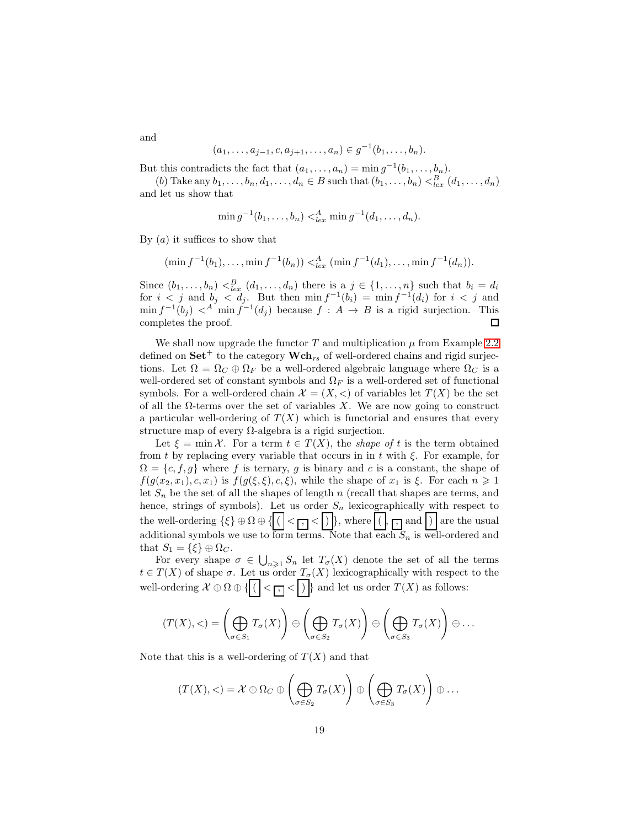$$
(a_1, \ldots, a_{j-1}, c, a_{j+1}, \ldots, a_n) \in g^{-1}(b_1, \ldots, b_n).
$$

But this contradicts the fact that  $(a_1, \ldots, a_n) = \min g^{-1}(b_1, \ldots, b_n)$ .

(b) Take any  $b_1, \ldots, b_n, d_1, \ldots, d_n \in B$  such that  $(b_1, \ldots, b_n) <_{lex}^B (d_1, \ldots, d_n)$ and let us show that

$$
\min g^{-1}(b_1,\ldots,b_n) <_{lex}^A \min g^{-1}(d_1,\ldots,d_n).
$$

By  $(a)$  it suffices to show that

$$
(\min f^{-1}(b_1), \ldots, \min f^{-1}(b_n)) <_{lex}^A (\min f^{-1}(d_1), \ldots, \min f^{-1}(d_n)).
$$

Since  $(b_1, \ldots, b_n) <_{lex}^B (d_1, \ldots, d_n)$  there is a  $j \in \{1, \ldots, n\}$  such that  $b_i = d_i$ for  $i < j$  and  $b_j < d_j$ . But then  $\min f^{-1}(b_i) = \min f^{-1}(d_i)$  for  $i < j$  and  $\min f^{-1}(b_j) <^A \min f^{-1}(d_j)$  because  $f : A \to B$  is a rigid surjection. This completes the proof.  $\Box$ 

We shall now upgrade the functor  $T$  and multiplication  $\mu$  from Example [2.2](#page-8-0) defined on  $\mathbf{Set}^+$  to the category  $\mathbf{Wch}_{rs}$  of well-ordered chains and rigid surjections. Let  $\Omega = \Omega_C \oplus \Omega_F$  be a well-ordered algebraic language where  $\Omega_C$  is a well-ordered set of constant symbols and  $\Omega_F$  is a well-ordered set of functional symbols. For a well-ordered chain  $\mathcal{X} = (X, \leq)$  of variables let  $T(X)$  be the set of all the  $\Omega$ -terms over the set of variables X. We are now going to construct a particular well-ordering of  $T(X)$  which is functorial and ensures that every structure map of every  $\Omega$ -algebra is a rigid surjection.

Let  $\xi = \min \mathcal{X}$ . For a term  $t \in T(X)$ , the shape of t is the term obtained from t by replacing every variable that occurs in in t with  $\xi$ . For example, for  $\Omega = \{c, f, g\}$  where f is ternary, g is binary and c is a constant, the shape of  $f(g(x_2, x_1), c, x_1)$  is  $f(g(\xi, \xi), c, \xi)$ , while the shape of  $x_1$  is  $\xi$ . For each  $n \geq 1$ let  $S_n$  be the set of all the shapes of length n (recall that shapes are terms, and hence, strings of symbols). Let us order  $S_n$  lexicographically with respect to the well-ordering  $\{\xi\} \oplus \Omega \oplus \{ (|\langle \Gamma, \rangle \rangle |), \text{ where } |(|\langle \Gamma, \rangle \text{ and } \rangle) | \text{ are the usual} \}$ additional symbols we use to form terms. Note that each  $S_n$  is well-ordered and that  $S_1 = \{\xi\} \oplus \Omega_C$ .

For every shape  $\sigma \in \bigcup_{n\geqslant 1} S_n$  let  $T_{\sigma}(X)$  denote the set of all the terms  $t \in T(X)$  of shape  $\sigma$ . Let us order  $T_{\sigma}(X)$  lexicographically with respect to the well-ordering  $\mathcal{X} \oplus \Omega \oplus \{ ( \mid < \boxed{\cdot } \} \}$  and let us order  $T(X)$  as follows:

$$
(T(X), <) = \left(\bigoplus_{\sigma \in S_1} T_{\sigma}(X)\right) \oplus \left(\bigoplus_{\sigma \in S_2} T_{\sigma}(X)\right) \oplus \left(\bigoplus_{\sigma \in S_3} T_{\sigma}(X)\right) \oplus \dots
$$

Note that this is a well-ordering of  $T(X)$  and that

$$
(T(X), <) = \mathcal{X} \oplus \Omega_C \oplus \left(\bigoplus_{\sigma \in S_2} T_{\sigma}(X)\right) \oplus \left(\bigoplus_{\sigma \in S_3} T_{\sigma}(X)\right) \oplus \dots
$$

and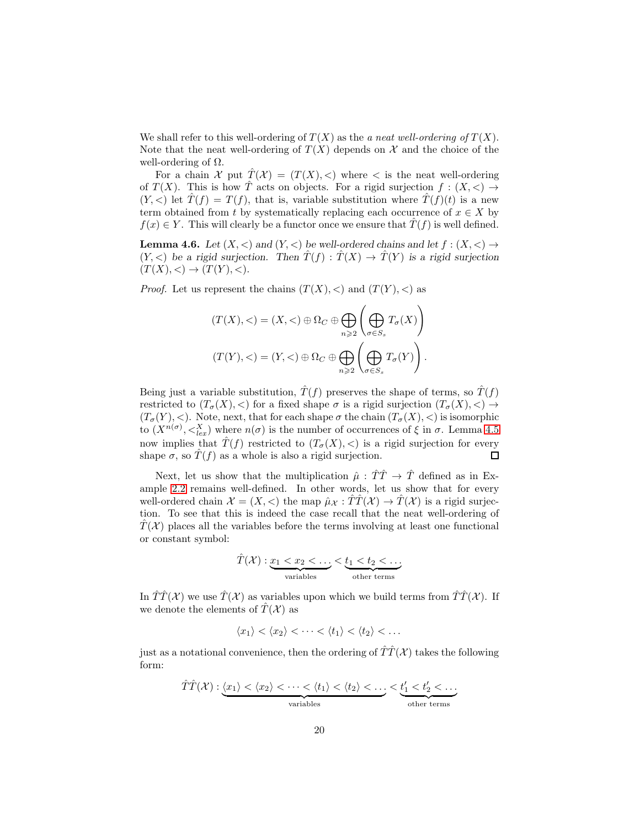We shall refer to this well-ordering of  $T(X)$  as the a neat well-ordering of  $T(X)$ . Note that the neat well-ordering of  $T(X)$  depends on X and the choice of the well-ordering of  $\Omega$ .

For a chain X put  $\hat{T}(\mathcal{X}) = (T(X), <)$  where  $<$  is the neat well-ordering of  $T(X)$ . This is how T acts on objects. For a rigid surjection  $f:(X,<)\to$  $(Y, \leq)$  let  $\hat{T}(f) = T(f)$ , that is, variable substitution where  $\hat{T}(f)(t)$  is a new term obtained from t by systematically replacing each occurrence of  $x \in X$  by  $f(x) \in Y$ . This will clearly be a functor once we ensure that  $\hat{T}(f)$  is well defined.

<span id="page-19-0"></span>**Lemma 4.6.** Let  $(X, \leq)$  and  $(Y, \leq)$  be well-ordered chains and let  $f : (X, \leq) \to$  $(Y, \leq)$  *be a rigid surjection.* Then  $\hat{T}(f) : \hat{T}(X) \to \hat{T}(Y)$  *is a rigid surjection*  $(T(X), <) \to (T(Y), <)$ .

*Proof.* Let us represent the chains  $(T(X), \langle)$  and  $(T(Y), \langle)$  as

$$
(T(X), <) = (X, <) \oplus \Omega_C \oplus \bigoplus_{n \geq 2} \left( \bigoplus_{\sigma \in S_s} T_{\sigma}(X) \right)
$$

$$
(T(Y), <) = (Y, <) \oplus \Omega_C \oplus \bigoplus_{n \geq 2} \left( \bigoplus_{\sigma \in S_s} T_{\sigma}(Y) \right).
$$

Being just a variable substitution,  $\hat{T}(f)$  preserves the shape of terms, so  $\hat{T}(f)$ restricted to  $(T_{\sigma}(X), <)$  for a fixed shape  $\sigma$  is a rigid surjection  $(T_{\sigma}(X), <) \rightarrow$  $(T_{\sigma}(Y), <)$ . Note, next, that for each shape  $\sigma$  the chain  $(T_{\sigma}(X), <)$  is isomorphic to  $(X^{n(\sigma)}, \langle \zeta_{lex}^X)$  where  $n(\sigma)$  is the number of occurrences of  $\xi$  in  $\sigma$ . Lemma [4.5](#page-17-0) now implies that  $\hat{T}(f)$  restricted to  $(T_{\sigma}(X), <)$  is a rigid surjection for every shape  $\sigma$ , so  $\hat{T}(f)$  as a whole is also a rigid surjection.  $\Box$ 

Next, let us show that the multiplication  $\hat{\mu}$  :  $\hat{T}\hat{T} \rightarrow \hat{T}$  defined as in Example [2.2](#page-8-0) remains well-defined. In other words, let us show that for every well-ordered chain  $\mathcal{X} = (X, \leq)$  the map  $\hat{\mu}_{\mathcal{X}} : \hat{T}\hat{T}(\mathcal{X}) \to \hat{T}(\mathcal{X})$  is a rigid surjection. To see that this is indeed the case recall that the neat well-ordering of  $T(\mathcal{X})$  places all the variables before the terms involving at least one functional or constant symbol:

$$
\hat{T}(\mathcal{X}) : \underbrace{x_1 < x_2 < \dots}_{\text{variables}} < \underbrace{t_1 < t_2 < \dots}_{\text{other terms}}
$$

In  $\hat{T}\hat{T}(\mathcal{X})$  we use  $\hat{T}(\mathcal{X})$  as variables upon which we build terms from  $\hat{T}\hat{T}(\mathcal{X})$ . If we denote the elements of  $\hat{T}(\mathcal{X})$  as

$$
\langle x_1 \rangle < \langle x_2 \rangle < \cdots < \langle t_1 \rangle < \langle t_2 \rangle < \cdots
$$

just as a notational convenience, then the ordering of  $\hat{T}\hat{T}(\mathcal{X})$  takes the following form:

$$
\hat{T}\hat{T}(\mathcal{X}) : \underbrace{\langle x_1 \rangle \langle x_2 \rangle \langle \cdots \langle x_1 \rangle \langle x_2 \rangle \langle \cdots \rangle}_{\text{variables}} \leq \underbrace{t'_1 \langle t'_2 \rangle \langle \cdots \rangle}_{\text{other terms}}
$$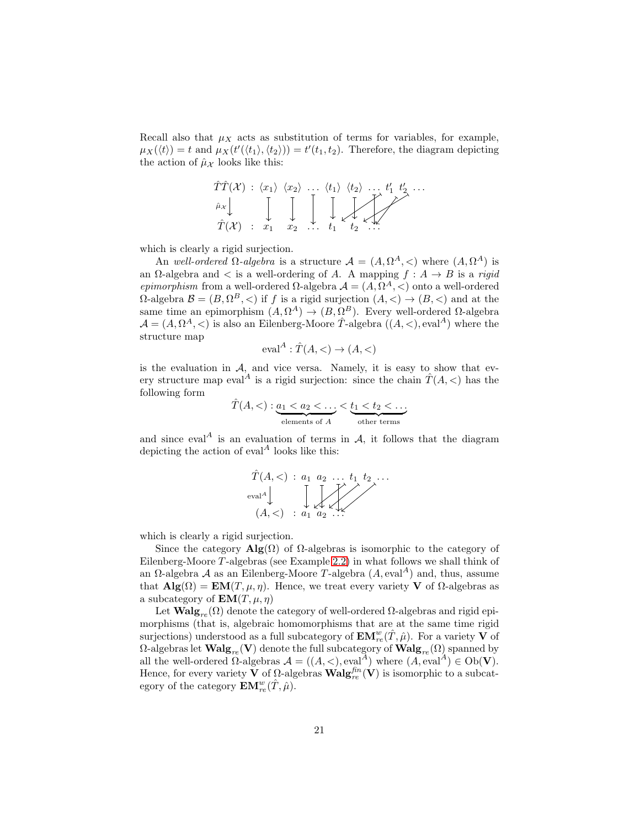Recall also that  $\mu_X$  acts as substitution of terms for variables, for example,  $\mu_X(\langle t \rangle) = t$  and  $\mu_X(t'(\langle t_1 \rangle, \langle t_2 \rangle)) = t'(t_1, t_2)$ . Therefore, the diagram depicting the action of  $\hat{\mu}_{\mathcal{X}}$  looks like this:



which is clearly a rigid surjection.

An well-ordered  $\Omega$ -algebra is a structure  $\mathcal{A} = (A, \Omega^A, \langle)$  where  $(A, \Omega^A)$  is an  $\Omega$ -algebra and  $\lt$  is a well-ordering of A. A mapping  $f : A \to B$  is a rigid *epimorphism* from a well-ordered  $\Omega$ -algebra  $\mathcal{A} = (A, \Omega^A, \leq)$  onto a well-ordered  $\Omega$ -algebra  $\mathcal{B} = (B, \Omega^B, <)$  if f is a rigid surjection  $(A, <) \to (B, <)$  and at the same time an epimorphism  $(A, \Omega^A) \to (B, \Omega^B)$ . Every well-ordered  $\Omega$ -algebra  $\mathcal{A} = (A, \Omega^A, \leq)$  is also an Eilenberg-Moore  $\hat{T}$ -algebra  $((A, \leq), \text{eval}^A)$  where the structure map

$$
\text{eval}^A: \hat{T}(A, <) \to (A, <)
$$

is the evaluation in  $A$ , and vice versa. Namely, it is easy to show that every structure map eval<sup>A</sup> is a rigid surjection: since the chain  $\hat{T}(A, \leq)$  has the following form

$$
\hat{T}(A,<): \underbrace{a_1 < a_2 < \dots}_{\text{elements of } A} < \underbrace{t_1 < t_2 < \dots}_{\text{other terms}}
$$

and since eval<sup>A</sup> is an evaluation of terms in  $A$ , it follows that the diagram depicting the action of  $eval<sup>A</sup>$  looks like this:

$$
\hat{T}(A, <) : a_1 \ a_2 \ \dots \ t_1 \ t_2 \dots
$$
  
eval<sup>A</sup>  

$$
(A, <) : a_1 \ a_2 \ \dots
$$

which is clearly a rigid surjection.

Since the category  $\mathbf{Alg}(\Omega)$  of  $\Omega$ -algebras is isomorphic to the category of Eilenberg-Moore T -algebras (see Example [2.2\)](#page-8-0) in what follows we shall think of an  $\Omega$ -algebra A as an Eilenberg-Moore T-algebra  $(A, \text{eval}^A)$  and, thus, assume that  $\mathbf{Alg}(\Omega) = \mathbf{EM}(T, \mu, \eta)$ . Hence, we treat every variety **V** of  $\Omega$ -algebras as a subcategory of  $EM(T, \mu, \eta)$ 

Let  $\mathbf{Walg}_{re}(\Omega)$  denote the category of well-ordered  $\Omega$ -algebras and rigid epimorphisms (that is, algebraic homomorphisms that are at the same time rigid surjections) understood as a full subcategory of  $\mathbf{EM}^w_{re}(\hat{T}, \hat{\mu})$ . For a variety  $\mathbf V$  of  $Ω$ -algebras let **Walg**<sub>re</sub>(**V**) denote the full subcategory of **Walg**<sub>re</sub>( $Ω$ ) spanned by all the well-ordered  $\Omega$ -algebras  $\mathcal{A} = ((A, <), eval^A)$  where  $(A, eval^A) \in Ob(V)$ . Hence, for every variety **V** of  $\Omega$ -algebras  $\text{Walg}_{re}^{fin}(\mathbf{V})$  is isomorphic to a subcategory of the category  $\mathbf{EM}^w_{re}(\hat{T}, \hat{\mu})$ .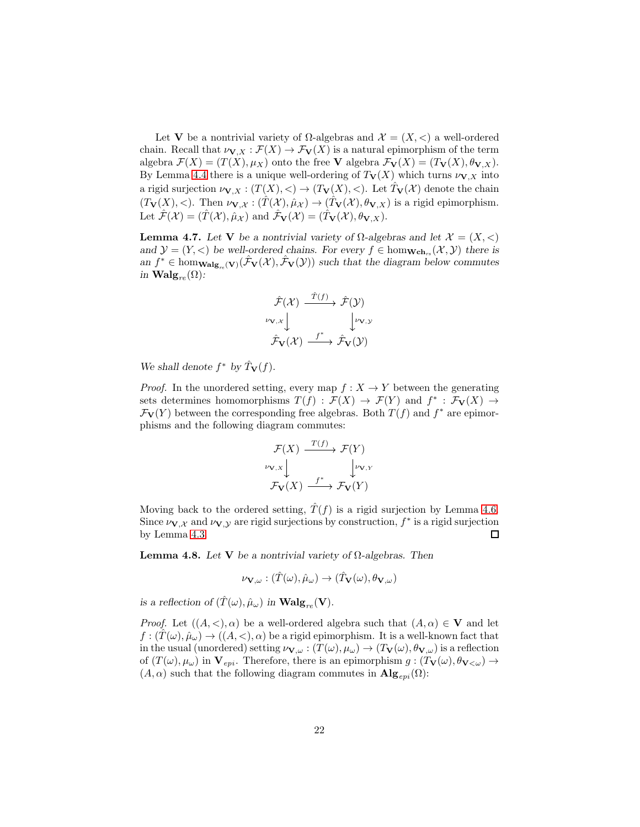Let V be a nontrivial variety of  $\Omega$ -algebras and  $\mathcal{X} = (X, \leq)$  a well-ordered chain. Recall that  $\nu_{\mathbf{V},X} : \mathcal{F}(X) \to \mathcal{F}_{\mathbf{V}}(X)$  is a natural epimorphism of the term algebra  $\mathcal{F}(X) = (T(X), \mu_X)$  onto the free **V** algebra  $\mathcal{F}_{V}(X) = (T_{V}(X), \theta_{V,X}).$ By Lemma [4.4](#page-17-1) there is a unique well-ordering of  $T_V(X)$  which turns  $\nu_{V,X}$  into a rigid surjection  $\nu_{\mathbf{V},X} : (T(X), <) \to (T_{\mathbf{V}}(X), <)$ . Let  $\hat{T}_{\mathbf{V}}(\mathcal{X})$  denote the chain  $(T_{\mathbf{V}}(X), <)$ . Then  $\nu_{\mathbf{V}, \mathcal{X}} : (\hat{T}(\mathcal{X}), \hat{\mu}_{\mathcal{X}}) \to (\hat{T}_{\mathbf{V}}(\mathcal{X}), \theta_{\mathbf{V}, X})$  is a rigid epimorphism. Let  $\hat{\mathcal{F}}(\mathcal{X}) = (\hat{T}(\mathcal{X}), \hat{\mu}_{\mathcal{X}})$  and  $\hat{\mathcal{F}}_{\mathbf{V}}(\mathcal{X}) = (\hat{T}_{\mathbf{V}}(\mathcal{X}), \theta_{\mathbf{V}, X}).$ 

<span id="page-21-1"></span>Lemma 4.7. Let **V** *be a nontrivial variety of*  $Ω$ -*algebras and let*  $X = (X, <)$ *and*  $\mathcal{Y} = (Y, \langle)$  *be well-ordered chains. For every*  $f \in \text{hom}_{\mathbf{Wch}_{rs}}(\mathcal{X}, \mathcal{Y})$  *there is* an  $f^* \in \text{hom}_{\mathbf{Walg}_{re}}(\mathbf{v})(\hat{\mathcal{F}}_{\mathbf{V}}(\mathcal{X}), \hat{\mathcal{F}}_{\mathbf{V}}(\mathcal{Y}))$  *such that the diagram below commutes in*  $\mathbf{Walg}_{re}(\Omega)$ *:* 

$$
\hat{\mathcal{F}}(\mathcal{X}) \xrightarrow{\hat{T}(f)} \hat{\mathcal{F}}(\mathcal{Y})
$$
\n
$$
\begin{array}{c}\n\downarrow \nu_{\mathbf{V},\mathcal{Y}} \\
\downarrow \downarrow \nu_{\mathbf{V},\mathcal{Y}} \\
\hat{\mathcal{F}}_{\mathbf{V}}(\mathcal{X}) \xrightarrow{f^*} \hat{\mathcal{F}}_{\mathbf{V}}(\mathcal{Y})\n\end{array}
$$

We shall denote  $f^*$  by  $\hat{T}_V(f)$ *.* 

*Proof.* In the unordered setting, every map  $f: X \to Y$  between the generating sets determines homomorphisms  $T(f) : \mathcal{F}(X) \to \mathcal{F}(Y)$  and  $f^* : \mathcal{F}_{V}(X) \to$  $\mathcal{F}_{\mathbf{V}}(Y)$  between the corresponding free algebras. Both  $T(f)$  and  $f^*$  are epimorphisms and the following diagram commutes:

 $T(\theta)$ 

$$
\mathcal{F}(X) \xrightarrow{T(f)} \mathcal{F}(Y)
$$
\n
$$
\nu_{\mathbf{V},X} \downarrow \qquad \qquad \downarrow \nu_{\mathbf{V},Y}
$$
\n
$$
\mathcal{F}_{\mathbf{V}}(X) \xrightarrow{f^*} \mathcal{F}_{\mathbf{V}}(Y)
$$

Moving back to the ordered setting,  $T(f)$  is a rigid surjection by Lemma [4.6.](#page-19-0) Since  $\nu_{\mathbf{V},\mathcal{X}}$  and  $\nu_{\mathbf{V},\mathcal{Y}}$  are rigid surjections by construction,  $f^*$  is a rigid surjection by Lemma [4.3.](#page-17-2)  $\Box$ 

<span id="page-21-0"></span>Lemma 4.8. *Let* V *be a nontrivial variety of* Ω*-algebras. Then*

$$
\nu_{\mathbf{V},\omega} : (\hat{T}(\omega), \hat{\mu}_{\omega}) \to (\hat{T}_{\mathbf{V}}(\omega), \theta_{\mathbf{V},\omega})
$$

*is a reflection of*  $(\hat{T}(\omega), \hat{\mu}_{\omega})$  *in* **Walg**<sub>re</sub>(**V**).

*Proof.* Let  $((A, <), \alpha)$  be a well-ordered algebra such that  $(A, \alpha) \in V$  and let  $f: (T(\omega), \hat{\mu}_{\omega}) \to ((A, <), \alpha)$  be a rigid epimorphism. It is a well-known fact that in the usual (unordered) setting  $\nu_{\mathbf{V},\omega}: (T(\omega), \mu_{\omega}) \to (T_{\mathbf{V}}(\omega), \theta_{\mathbf{V},\omega})$  is a reflection of  $(T(\omega), \mu_{\omega})$  in  $V_{epi}$ . Therefore, there is an epimorphism  $g: (T_V(\omega), \theta_{V<\omega}) \rightarrow$  $(A, \alpha)$  such that the following diagram commutes in  $\mathbf{Alg}_{evi}(\Omega)$ :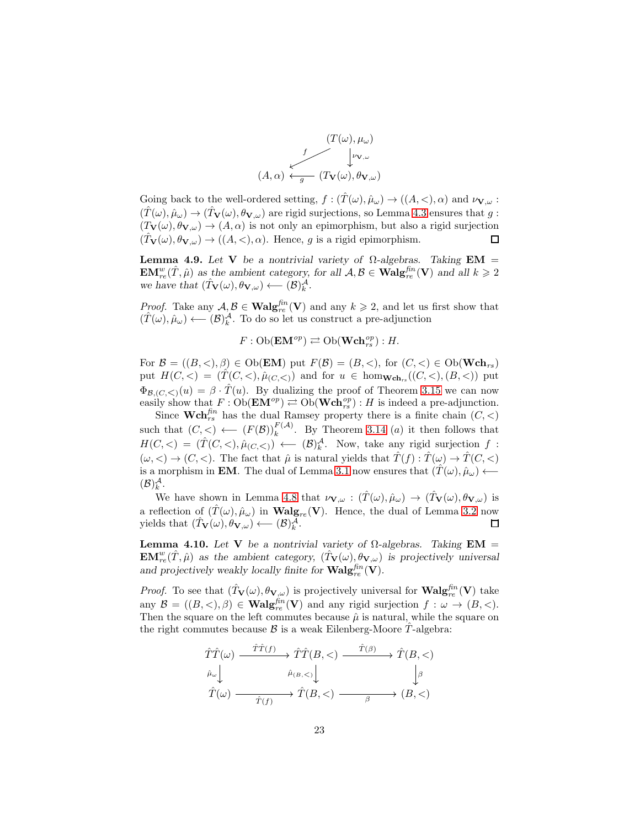

Going back to the well-ordered setting,  $f : (\hat{T}(\omega), \hat{\mu}_{\omega}) \to ((A, <), \alpha)$  and  $\nu_{\mathbf{V}, \omega}$ :  $(\hat{T}(\omega), \hat{\mu}_{\omega}) \rightarrow (\hat{T}_{\mathbf{V}}(\omega), \theta_{\mathbf{V}, \omega})$  are rigid surjections, so Lemma [4.3](#page-17-2) ensures that g:  $(T_{\mathbf{V}}(\omega), \theta_{\mathbf{V}, \omega}) \rightarrow (A, \alpha)$  is not only an epimorphism, but also a rigid surjection  $(T_{\mathbf{V}}(\omega), \theta_{\mathbf{V}, \omega}) \rightarrow ((A, <), \alpha)$ . Hence, g is a rigid epimorphism.  $\Box$ 

<span id="page-22-1"></span>Lemma 4.9. *Let* V *be a nontrivial variety of Ω-algebras. Taking* **EM** =  $\mathbf{EM}_{re}^w(\hat{T}, \hat{\mu})$  as the ambient category, for all  $\mathcal{A}, \mathcal{B} \in \mathbf{Walg}_{re}^{\text{fin}}(\mathbf{V})$  and all  $k \geq 2$ *we have that*  $(\hat{T}_{\mathbf{V}}(\omega), \theta_{\mathbf{V}, \omega}) \longleftarrow (\mathcal{B})_k^{\mathcal{A}}$ .

*Proof.* Take any  $A, B \in \textbf{Walg}_{re}^{fn}(\mathbf{V})$  and any  $k \geq 2$ , and let us first show that  $(\hat{T}(\omega), \hat{\mu}_{\omega}) \longleftarrow (\mathcal{B})_k^{\mathcal{A}}$ . To do so let us construct a pre-adjunction

$$
F: \operatorname{Ob}(\mathbf{EM}^{op}) \rightleftarrows \operatorname{Ob}(\mathbf{Wch}_{rs}^{op}): H.
$$

For  $\mathcal{B} = ((B, <), \beta) \in \mathrm{Ob}(\mathbf{EM})$  put  $F(\mathcal{B}) = (B, <),$  for  $(C, <) \in \mathrm{Ob}(\mathbf{Wch}_{rs})$ put  $H(C, \leq) = (\hat{T}(C, \leq), \hat{\mu}_{(C, \leq)})$  and for  $u \in \text{hom}_{\mathbf{Wch}_{rs}}((C, \leq), (B, \leq))$  put  $\Phi_{\mathcal{B},(C,<)}(u) = \beta \cdot \hat{T}(u)$ . By dualizing the proof of Theorem [3.15](#page-15-1) we can now easily show that  $F : Ob(\mathbf{EM}^{op}) \rightleftarrows Ob(\mathbf{Wch}_{rs}^{op}): H$  is indeed a pre-adjunction.

Since  $\mathbf{Wch}_{rs}^{fin}$  has the dual Ramsey property there is a finite chain  $(C, <)$ such that  $(C, <) \leftarrow (F(\mathcal{B}))_k^{F(\mathcal{A})}$ . By Theorem [3.14](#page-15-0) (*a*) it then follows that  $H(C, \langle) = (\hat{T}(C, \langle), \hat{\mu}_{(C, \langle}) \rangle \longleftarrow (\mathcal{B})^{\mathcal{A}}_{k}$ . Now, take any rigid surjection f:  $(\omega, <) \rightarrow (C, <)$ . The fact that  $\hat{\mu}$  is natural yields that  $\hat{T}(f) : \hat{T}(\omega) \rightarrow \hat{T}(C, <)$ is a morphism in **EM**. The dual of Lemma [3.1](#page-9-1) now ensures that  $(T(\omega), \hat{\mu}_{\omega}) \leftarrow$  $(\mathcal{B})_k^{\mathcal{A}}.$ 

We have shown in Lemma [4.8](#page-21-0) that  $\nu_{\mathbf{V},\omega} : (\hat{T}(\omega), \hat{\mu}_{\omega}) \to (\hat{T}_{\mathbf{V}}(\omega), \theta_{\mathbf{V},\omega})$  is a reflection of  $(\hat{T}(\omega), \hat{\mu}_{\omega})$  in **Walg**<sub>re</sub> (V). Hence, the dual of Lemma [3.2](#page-10-1) now yields that  $(\hat{T}_{\mathbf{V}}(\omega), \theta_{\mathbf{V}_{\omega}}) \leftarrow (\mathcal{B})_b^{\mathcal{A}}$ . yields that  $(\hat{T}_{\mathbf{V}}(\omega), \hat{\theta}_{\mathbf{V}, \omega}) \longleftarrow (\mathcal{B})_k^{\tilde{\mathcal{A}}}$ .

<span id="page-22-0"></span>Lemma 4.10. *Let* **V** *be a nontrivial variety of*  $Ω$ -*algebras.* Taking **EM** =  $\mathbf{EM}_{re}^w(\hat{T}, \hat{\mu})$  as the ambient category,  $(\hat{T}_{\mathbf{V}}(\omega), \theta_{\mathbf{V}, \omega})$  is projectively universal and projectively weakly locally finite for  $\text{Walg}_{re}^{fin}(\mathbf{V})$ .

*Proof.* To see that  $(\hat{T}_{V}(\omega), \theta_{V_{,\omega}})$  is projectively universal for  $\text{Walg}_{re}^{\text{fin}}(V)$  take any  $\mathcal{B} = ((B, <), \beta) \in \textbf{Walg}_{re}^{fin}(\mathbf{V})$  and any rigid surjection  $f : \omega \to (B, <)$ . Then the square on the left commutes because  $\hat{\mu}$  is natural, while the square on the right commutes because  $\beta$  is a weak Eilenberg-Moore T-algebra:

$$
\hat{T}\hat{T}(\omega) \xrightarrow{\hat{T}\hat{T}(f)} \hat{T}(B,<) \xrightarrow{\hat{T}(\beta)} \hat{T}(\omega) \xrightarrow{\hat{T}(\omega)} \hat{T}(B,<) \downarrow
$$
\n
$$
\hat{T}(\omega) \xrightarrow{\hat{T}(f)} \hat{T}(B,<) \xrightarrow{\hat{T}(\omega)} \hat{T}(B,<)
$$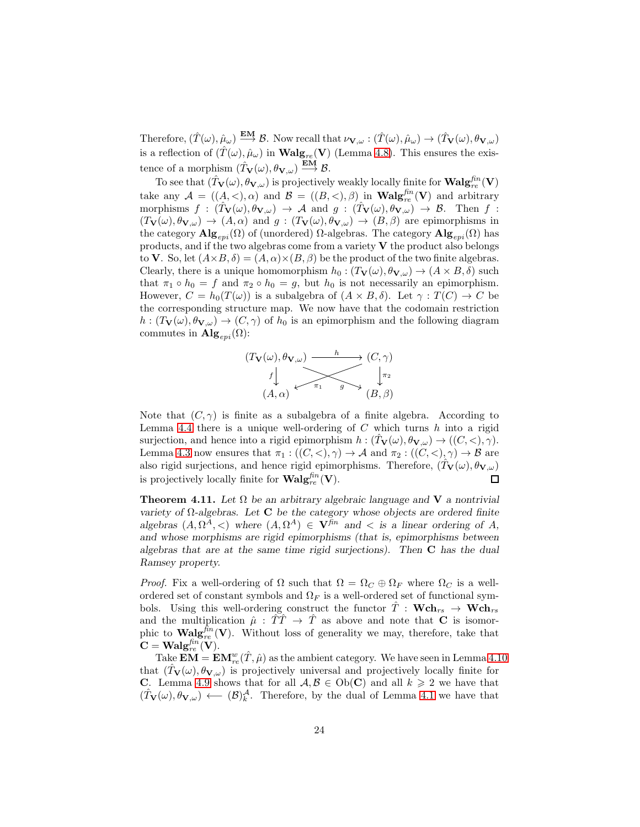Therefore,  $(\hat{T}(\omega), \hat{\mu}_{\omega}) \stackrel{\textbf{EM}}{\longrightarrow} \mathcal{B}$ . Now recall that  $\nu_{\mathbf{V}, \omega} : (\hat{T}(\omega), \hat{\mu}_{\omega}) \to (\hat{T}_{\mathbf{V}}(\omega), \theta_{\mathbf{V}, \omega})$ is a reflection of  $(\hat{T}(\omega), \hat{\mu}_{\omega})$  in  $\mathbf{Walg}_{re}(\mathbf{V})$  (Lemma [4.8\)](#page-21-0). This ensures the existence of a morphism  $(\hat{T}_{\mathbf{V}}(\omega), \theta_{\mathbf{V}, \omega}) \stackrel{\text{EM}}{\longrightarrow} \mathcal{B}$ .

To see that  $(\hat{T}_{V}(\omega), \theta_{V, \omega})$  is projectively weakly locally finite for  $\text{Walg}_{re}^{\text{fin}}(V)$ take any  $\mathcal{A} = ((A, <), \alpha)$  and  $\mathcal{B} = ((B, <), \beta)$  in  $\text{Walg}_{re}^{fn}(\mathbf{V})$  and arbitrary morphisms  $f : (\hat{T}_{V}(\omega), \theta_{V, \omega}) \rightarrow A$  and  $g : (\hat{T}_{V}(\omega), \theta_{V, \omega}) \rightarrow B$ . Then f:  $(T_{\mathbf{V}}(\omega), \theta_{\mathbf{V}, \omega}) \rightarrow (A, \alpha)$  and  $g: (T_{\mathbf{V}}(\omega), \theta_{\mathbf{V}, \omega}) \rightarrow (B, \beta)$  are epimorphisms in the category  $\mathbf{Alg}_{epi}(\Omega)$  of (unordered)  $\Omega$ -algebras. The category  $\mathbf{Alg}_{epi}(\Omega)$  has products, and if the two algebras come from a variety  $V$  the product also belongs to V. So, let  $(A \times B, \delta) = (A, \alpha) \times (B, \beta)$  be the product of the two finite algebras. Clearly, there is a unique homomorphism  $h_0 : (T_V(\omega), \theta_{V, \omega}) \to (A \times B, \delta)$  such that  $\pi_1 \circ h_0 = f$  and  $\pi_2 \circ h_0 = g$ , but  $h_0$  is not necessarily an epimorphism. However,  $C = h_0(T(\omega))$  is a subalgebra of  $(A \times B, \delta)$ . Let  $\gamma : T(C) \to C$  be the corresponding structure map. We now have that the codomain restriction  $h: (T_{\mathbf{V}}(\omega), \theta_{\mathbf{V}, \omega}) \to (C, \gamma)$  of  $h_0$  is an epimorphism and the following diagram commutes in  $\mathbf{Alg}_{evi}(\Omega)$ :



Note that  $(C, \gamma)$  is finite as a subalgebra of a finite algebra. According to Lemma [4.4](#page-17-1) there is a unique well-ordering of  $C$  which turns  $h$  into a rigid surjection, and hence into a rigid epimorphism  $h : (T_V(\omega), \theta_{V, \omega}) \to ((C, <), \gamma)$ . Lemma [4.3](#page-17-2) now ensures that  $\pi_1 : ((C, <), \gamma) \to \mathcal{A}$  and  $\pi_2 : ((C, <), \gamma) \to \mathcal{B}$  are also rigid surjections, and hence rigid epimorphisms. Therefore,  $(\hat{T}_{\mathbf{V}}(\omega), \theta_{\mathbf{V}, \omega})$ is projectively locally finite for  $\text{Walg}_{re}^{fin}(\mathbf{V})$ .  $\Box$ 

<span id="page-23-0"></span>Theorem 4.11. *Let* Ω *be an arbitrary algebraic language and* V *a nontrivial variety of* Ω*-algebras. Let* C *be the category whose objects are ordered finite algebras*  $(A, \Omega^A, \leq)$  *where*  $(A, \Omega^A) \in \mathbf{V}^{\text{fin}}$  *and*  $\leq$  *is a linear ordering of A, and whose morphisms are rigid epimorphisms (that is, epimorphisms between algebras that are at the same time rigid surjections). Then* C *has the dual Ramsey property.*

*Proof.* Fix a well-ordering of  $\Omega$  such that  $\Omega = \Omega_C \oplus \Omega_F$  where  $\Omega_C$  is a wellordered set of constant symbols and  $\Omega_F$  is a well-ordered set of functional symbols. Using this well-ordering construct the functor  $\hat{T}$  :  $\mathbf{Wch}_{rs} \to \mathbf{Wch}_{rs}$ and the multiplication  $\hat{\mu}$  :  $\hat{T}\hat{T} \to \hat{T}$  as above and note that **C** is isomorphic to  $\mathbf{Walg}_{re}^{fin}(\mathbf{V})$ . Without loss of generality we may, therefore, take that  $\mathbf{C} = \mathbf{W}\mathrm{alg}_{re}^{\mathit{fin}}(\mathbf{V}).$ 

Take  $\mathbf{EM} = \mathbf{EM}_{re}^w(\hat{T}, \hat{\mu})$  as the ambient category. We have seen in Lemma [4.10](#page-22-0) that  $(T_{\mathbf{V}}(\omega), \theta_{\mathbf{V}, \omega})$  is projectively universal and projectively locally finite for C. Lemma [4.9](#page-22-1) shows that for all  $A, B \in Ob(C)$  and all  $k \geq 2$  we have that  $(\hat{T}_{\mathbf{V}}(\omega), \theta_{\mathbf{V}, \omega}) \leftarrow (\mathcal{B})_k^{\mathcal{A}}$ . Therefore, by the dual of Lemma [4.1](#page-16-1) we have that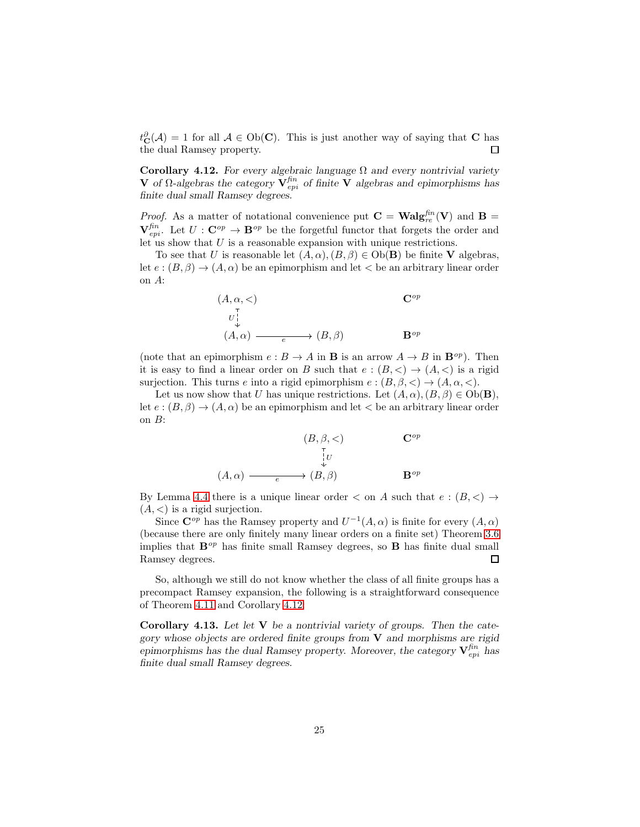$t_{\mathbf{C}}^{\partial}(\mathcal{A}) = 1$  for all  $\mathcal{A} \in Ob(\mathbf{C})$ . This is just another way of saying that **C** has the dual Ramsey property.

<span id="page-24-0"></span>Corollary 4.12. *For every algebraic language* Ω *and every nontrivial variety* *of* **Ω-algebras the category**  $**V**^{fin}_{epi}$ *of finite* **<b>V** algebras and epimorphisms has *finite dual small Ramsey degrees.*

*Proof.* As a matter of notational convenience put  $C = Walg_{re}^{fin}(V)$  and  $B =$  $\mathbf{V}_{epi}^{\text{fin}}$ . Let  $U: \mathbf{C}^{\text{op}} \to \mathbf{B}^{\text{op}}$  be the forgetful functor that forgets the order and let us show that U is a reasonable expansion with unique restrictions.

To see that U is reasonable let  $(A, \alpha), (B, \beta) \in Ob(\mathbf{B})$  be finite V algebras, let  $e:(B,\beta)\to (A,\alpha)$  be an epimorphism and let  $\lt$  be an arbitrary linear order on A:

(A, α, <) Cop (A, α) (B, β) Bop U e

(note that an epimorphism  $e : B \to A$  in **B** is an arrow  $A \to B$  in  $\mathbf{B}^{op}$ ). Then it is easy to find a linear order on B such that  $e : (B, \leq) \rightarrow (A, \leq)$  is a rigid surjection. This turns e into a rigid epimorphism  $e : (B, \beta, \leq) \to (A, \alpha, \leq)$ .

Let us now show that U has unique restrictions. Let  $(A, \alpha), (B, \beta) \in Ob(\mathbf{B}),$ let  $e:(B,\beta)\to (A,\alpha)$  be an epimorphism and let  $\lt$  be an arbitrary linear order on B:

$$
(B, \beta, <)
$$
\n
$$
\downarrow \qquad \qquad \mathbf{C}^{op}
$$
\n
$$
(A, \alpha) \xrightarrow{e} (B, \beta) \qquad \qquad \mathbf{B}^{op}
$$

By Lemma [4.4](#page-17-1) there is a unique linear order  $\langle$  on A such that  $e:(B,\langle) \rangle$  $(A, \leq)$  is a rigid surjection.

Since  $\mathbb{C}^{op}$  has the Ramsey property and  $U^{-1}(A,\alpha)$  is finite for every  $(A,\alpha)$ (because there are only finitely many linear orders on a finite set) Theorem [3.6](#page-12-0) implies that  $\mathbf{B}^{op}$  has finite small Ramsey degrees, so  $\mathbf{B}$  has finite dual small Ramsey degrees.  $\Box$ 

So, although we still do not know whether the class of all finite groups has a precompact Ramsey expansion, the following is a straightforward consequence of Theorem [4.11](#page-23-0) and Corollary [4.12:](#page-24-0)

<span id="page-24-1"></span>Corollary 4.13. *Let let* V *be a nontrivial variety of groups. Then the category whose objects are ordered finite groups from* V *and morphisms are rigid*  $e$ pimorphisms has the dual Ramsey property. Moreover, the category  $\mathbf{V}_{epi}^{fn}$  has *finite dual small Ramsey degrees.*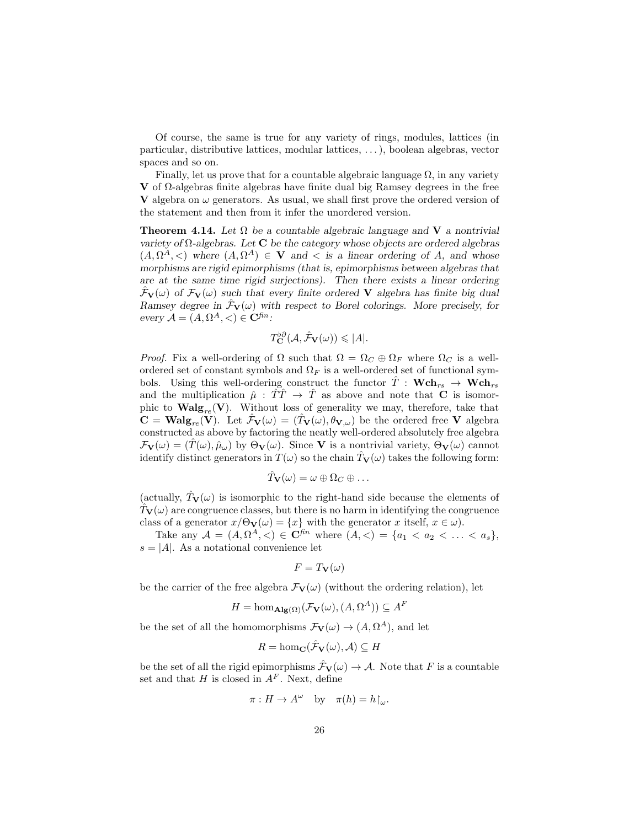Of course, the same is true for any variety of rings, modules, lattices (in particular, distributive lattices, modular lattices, . . . ), boolean algebras, vector spaces and so on.

Finally, let us prove that for a countable algebraic language  $\Omega$ , in any variety V of  $Ω$ -algebras finite algebras have finite dual big Ramsey degrees in the free V algebra on  $\omega$  generators. As usual, we shall first prove the ordered version of the statement and then from it infer the unordered version.

<span id="page-25-0"></span>Theorem 4.14. *Let* Ω *be a countable algebraic language and* V *a nontrivial variety of* Ω*-algebras. Let* C *be the category whose objects are ordered algebras*  $(A, \Omega^A, \leq)$  where  $(A, \Omega^A) \in \mathbf{V}$  and  $\leq$  is a linear ordering of A, and whose *morphisms are rigid epimorphisms (that is, epimorphisms between algebras that are at the same time rigid surjections). Then there exists a linear ordering*  $\mathcal{F}_{\mathbf{V}}(\omega)$  of  $\mathcal{F}_{\mathbf{V}}(\omega)$  such that every finite ordered **V** algebra has finite big dual *Ramsey degree in*  $\mathcal{F}_V(\omega)$  *with respect to Borel colorings. More precisely, for*  $every \mathcal{A} = (A, \Omega^A, <) \in \mathbf{C}^{\text{fin}}$ :

$$
T_{\mathbf{C}}^{b\partial}(\mathcal{A}, \hat{\mathcal{F}}_{\mathbf{V}}(\omega)) \leqslant |A|.
$$

*Proof.* Fix a well-ordering of  $\Omega$  such that  $\Omega = \Omega_C \oplus \Omega_F$  where  $\Omega_C$  is a wellordered set of constant symbols and  $\Omega_F$  is a well-ordered set of functional symbols. Using this well-ordering construct the functor  $\hat{T}$  :  $\mathbf{Wch}_{rs} \to \mathbf{Wch}_{rs}$ and the multiplication  $\hat{\mu}$  :  $\hat{T}\hat{T} \to \hat{T}$  as above and note that **C** is isomorphic to  $\mathbf{Walg}_{re}(\mathbf{V})$ . Without loss of generality we may, therefore, take that  $\mathbf{C} = \mathbf{Walg}_{re}(\mathbf{V})$ . Let  $\mathcal{F}_{\mathbf{V}}(\omega) = (\mathcal{T}_{\mathbf{V}}(\omega), \theta_{\mathbf{V}, \omega})$  be the ordered free V algebra constructed as above by factoring the neatly well-ordered absolutely free algebra  $\mathcal{F}_{\mathbf{V}}(\omega) = (\hat{T}(\omega), \hat{\mu}_{\omega})$  by  $\Theta_{\mathbf{V}}(\omega)$ . Since **V** is a nontrivial variety,  $\Theta_{\mathbf{V}}(\omega)$  cannot identify distinct generators in  $T(\omega)$  so the chain  $T_{\mathbf{V}}(\omega)$  takes the following form:

$$
\hat{T}_{\mathbf{V}}(\omega) = \omega \oplus \Omega_C \oplus \ldots
$$

(actually,  $T_V(\omega)$  is isomorphic to the right-hand side because the elements of  $T_{\mathbf{V}}(\omega)$  are congruence classes, but there is no harm in identifying the congruence class of a generator  $x/\Theta_{\mathbf{V}}(\omega) = \{x\}$  with the generator x itself,  $x \in \omega$ ).

Take any  $A = (A, \Omega^A, <) \in \mathbb{C}^{fn}$  where  $(A, <) = \{a_1 < a_2 < \ldots < a_s\},\$  $s = |A|$ . As a notational convenience let

$$
F=T_{\mathbf{V}}(\omega)
$$

be the carrier of the free algebra  $\mathcal{F}_{V}(\omega)$  (without the ordering relation), let

$$
H = \hom_{\mathbf{Alg}(\Omega)}(\mathcal{F}_\mathbf{V}(\omega), (A, \Omega^A)) \subseteq A^F
$$

be the set of all the homomorphisms  $\mathcal{F}_{\mathbf{V}}(\omega) \to (A, \Omega^A)$ , and let

$$
R = \hom_{\mathbf{C}}(\hat{\mathcal{F}}_{\mathbf{V}}(\omega), \mathcal{A}) \subseteq H
$$

be the set of all the rigid epimorphisms  $\hat{\mathcal{F}}_{\mathbf{V}}(\omega) \to \mathcal{A}$ . Note that F is a countable set and that H is closed in  $A<sup>F</sup>$ . Next, define

$$
\pi: H \to A^{\omega} \quad \text{by} \quad \pi(h) = h\!\upharpoonright_{\omega}.
$$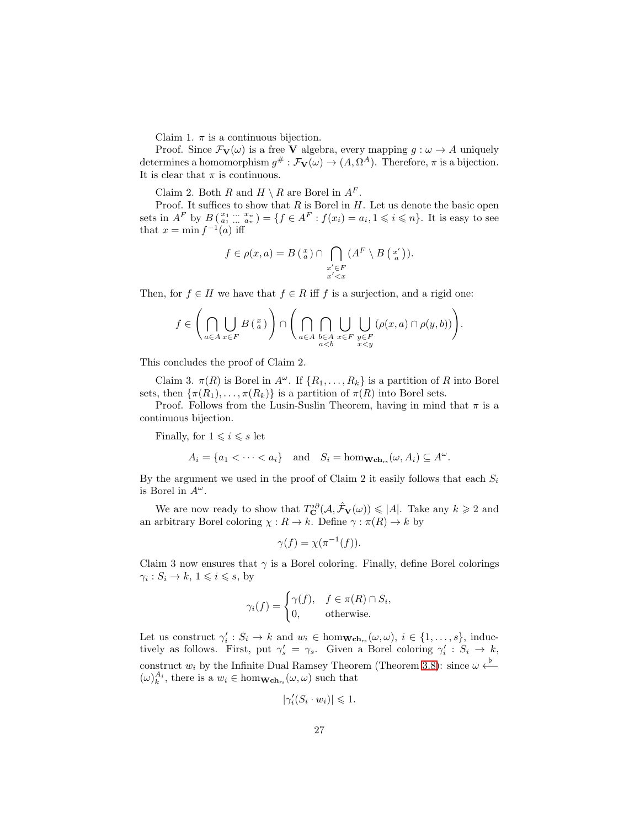Claim 1.  $\pi$  is a continuous bijection.

Proof. Since  $\mathcal{F}_{\mathbf{V}}(\omega)$  is a free **V** algebra, every mapping  $g : \omega \to A$  uniquely determines a homomorphism  $g^{\#} : \mathcal{F}_{V}(\omega) \to (A, \Omega^{A})$ . Therefore,  $\pi$  is a bijection. It is clear that  $\pi$  is continuous.

Claim 2. Both R and  $H \setminus R$  are Borel in  $A^F$ .

Proof. It suffices to show that  $R$  is Borel in  $H$ . Let us denote the basic open sets in  $A^F$  by  $B(\begin{matrix} x_1 & ... & x_n \\ a_1 & ... & a_n \end{matrix}) = \{f \in A^F : f(x_i) = a_i, 1 \leq i \leq n\}.$  It is easy to see that  $x = \min f^{-1}(a)$  iff

$$
f \in \rho(x, a) = B\left(\begin{smallmatrix} x \\ a \end{smallmatrix}\right) \cap \bigcap_{\substack{x' \in F \\ x' < x}} (A^F \setminus B\left(\begin{smallmatrix} x' \\ a \end{smallmatrix}\right)).
$$

Then, for  $f \in H$  we have that  $f \in R$  iff f is a surjection, and a rigid one:

$$
f \in \left(\bigcap_{a \in A} \bigcup_{x \in F} B\left(\frac{x}{a}\right)\right) \cap \left(\bigcap_{a \in A} \bigcap_{\substack{b \in A \\ a < b}} \bigcup_{x \in F} \bigcup_{\substack{y \in F \\ x < y}} (\rho(x, a) \cap \rho(y, b))\right).
$$

This concludes the proof of Claim 2.

Claim 3.  $\pi(R)$  is Borel in  $A^{\omega}$ . If  $\{R_1, \ldots, R_k\}$  is a partition of R into Borel sets, then  $\{\pi(R_1), \ldots, \pi(R_k)\}\$ is a partition of  $\pi(R)$  into Borel sets.

Proof. Follows from the Lusin-Suslin Theorem, having in mind that  $\pi$  is a continuous bijection.

Finally, for  $1 \leq i \leq s$  let

$$
A_i = \{a_1 < \cdots < a_i\}
$$
 and  $S_i = \text{hom}_{\mathbf{Wch}_{rs}}(\omega, A_i) \subseteq A^{\omega}$ .

By the argument we used in the proof of Claim 2 it easily follows that each  $S_i$ is Borel in  $A^{\omega}$ .

We are now ready to show that  $T_{\mathbf{C}}^{b\partial}(\mathcal{A}, \hat{\mathcal{F}}_{\mathbf{V}}(\omega)) \leqslant |A|$ . Take any  $k \geqslant 2$  and an arbitrary Borel coloring  $\chi : R \to k$ . Define  $\gamma : \pi(R) \to k$  by

$$
\gamma(f) = \chi(\pi^{-1}(f)).
$$

Claim 3 now ensures that  $\gamma$  is a Borel coloring. Finally, define Borel colorings  $\gamma_i: S_i \to k, 1 \leqslant i \leqslant s$ , by

$$
\gamma_i(f) = \begin{cases} \gamma(f), & f \in \pi(R) \cap S_i, \\ 0, & \text{otherwise.} \end{cases}
$$

Let us construct  $\gamma'_i : S_i \to k$  and  $w_i \in \text{hom}_{\mathbf{Wch}_{rs}}(\omega, \omega), i \in \{1, \ldots, s\}$ , inductively as follows. First, put  $\gamma'_s = \gamma_s$ . Given a Borel coloring  $\gamma'_i : S_i \to k$ , construct  $w_i$  by the Infinite Dual Ramsey Theorem (Theorem [3.8\)](#page-13-0): since  $\omega \xleftarrow{b}$  $(\omega)^{A_i}_k$ , there is a  $w_i \in \text{hom}_{\mathbf{Wch}_{rs}}(\omega, \omega)$  such that

$$
|\gamma_i'(S_i \cdot w_i)| \leq 1.
$$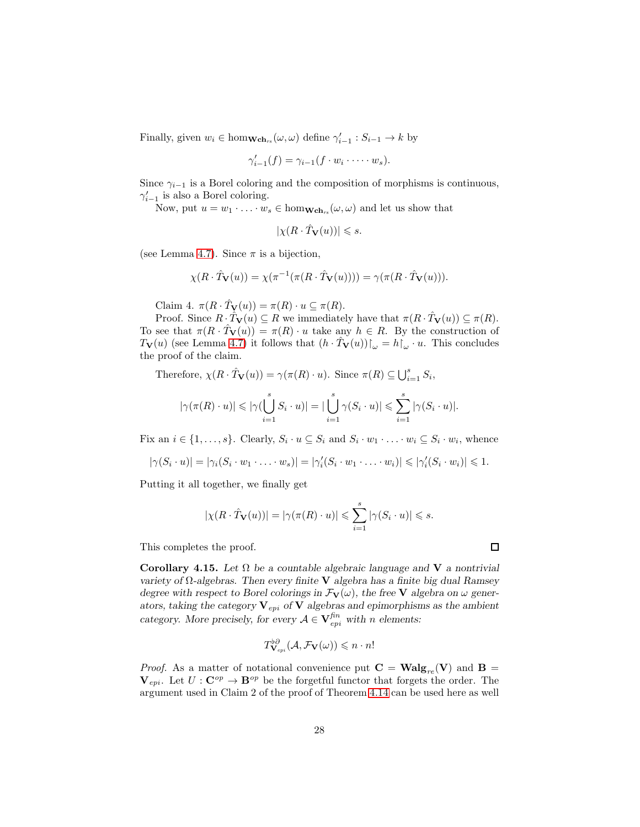Finally, given  $w_i \in \text{hom}_{\mathbf{Wch}_{rs}}(\omega, \omega)$  define  $\gamma'_{i-1}: S_{i-1} \to k$  by

$$
\gamma'_{i-1}(f) = \gamma_{i-1}(f \cdot w_i \cdot \dots \cdot w_s).
$$

Since  $\gamma_{i-1}$  is a Borel coloring and the composition of morphisms is continuous,  $\gamma_{i-1}'$  is also a Borel coloring.

Now, put  $u = w_1 \cdot \ldots \cdot w_s \in \text{hom}_{\mathbf{Wch}_{rs}}(\omega, \omega)$  and let us show that

$$
|\chi(R\cdot \hat{T}_{\mathbf{V}}(u))|\leqslant s.
$$

(see Lemma [4.7\)](#page-21-1). Since  $\pi$  is a bijection,

$$
\chi(R \cdot \hat{T} \mathbf{v}(u)) = \chi(\pi^{-1}(\pi(R \cdot \hat{T} \mathbf{v}(u)))) = \gamma(\pi(R \cdot \hat{T} \mathbf{v}(u))).
$$

Claim 4.  $\pi(R \cdot \hat{T}_{\mathbf{V}}(u)) = \pi(R) \cdot u \subseteq \pi(R)$ .

Proof. Since  $R \cdot \hat{T}_{\mathbf{V}}(u) \subseteq R$  we immediately have that  $\pi(R \cdot \hat{T}_{\mathbf{V}}(u)) \subseteq \pi(R)$ . To see that  $\pi(R \cdot \overline{T}_{\mathbf{V}}(u)) = \pi(R) \cdot u$  take any  $h \in R$ . By the construction of  $T_V(u)$  (see Lemma [4.7\)](#page-21-1) it follows that  $(h \cdot \hat{T}_V(u))\upharpoonright_{\omega} = h\upharpoonright_{\omega} \cdot u$ . This concludes the proof of the claim.

Therefore,  $\chi(R \cdot \hat{T}_{\mathbf{V}}(u)) = \gamma(\pi(R) \cdot u)$ . Since  $\pi(R) \subseteq \bigcup_{i=1}^{s} S_i$ ,

$$
|\gamma(\pi(R)\cdot u)|\leqslant |\gamma(\bigcup_{i=1}^sS_i\cdot u)|=|\bigcup_{i=1}^s\gamma(S_i\cdot u)|\leqslant \sum_{i=1}^s|\gamma(S_i\cdot u)|.
$$

Fix an  $i \in \{1, \ldots, s\}$ . Clearly,  $S_i \cdot u \subseteq S_i$  and  $S_i \cdot w_1 \cdot \ldots \cdot w_i \subseteq S_i \cdot w_i$ , whence

$$
|\gamma(S_i \cdot u)| = |\gamma_i(S_i \cdot w_1 \cdot \ldots \cdot w_s)| = |\gamma'_i(S_i \cdot w_1 \cdot \ldots \cdot w_i)| \leq |\gamma'_i(S_i \cdot w_i)| \leq 1.
$$

Putting it all together, we finally get

$$
|\chi(R \cdot \hat{T}_{\mathbf{V}}(u))| = |\gamma(\pi(R) \cdot u)| \leqslant \sum_{i=1}^{s} |\gamma(S_i \cdot u)| \leqslant s.
$$

This completes the proof.

<span id="page-27-0"></span>Corollary 4.15. *Let* Ω *be a countable algebraic language and* V *a nontrivial variety of* Ω*-algebras. Then every finite* V *algebra has a finite big dual Ramsey degree with respect to Borel colorings in*  $\mathcal{F}_{\mathbf{V}}(\omega)$ , the free **V** algebra on  $\omega$  gener*ators, taking the category*  $V_{epi}$  *of*  $V$  *algebras and epimorphisms as the ambient category.* More precisely, for every  $A \in V_{epi}^{fin}$  with n elements:

$$
T^{\flat\partial}_{\mathbf{V}_{epi}}(\mathcal{A},\mathcal{F}_{\mathbf{V}}(\omega))\leqslant n\cdot n!
$$

*Proof.* As a matter of notational convenience put  $C = Walg_{re}(V)$  and  $B =$  $V_{epi}$ . Let  $U: \mathbf{C}^{op} \to \mathbf{B}^{op}$  be the forgetful functor that forgets the order. The argument used in Claim 2 of the proof of Theorem [4.14](#page-25-0) can be used here as well

 $\Box$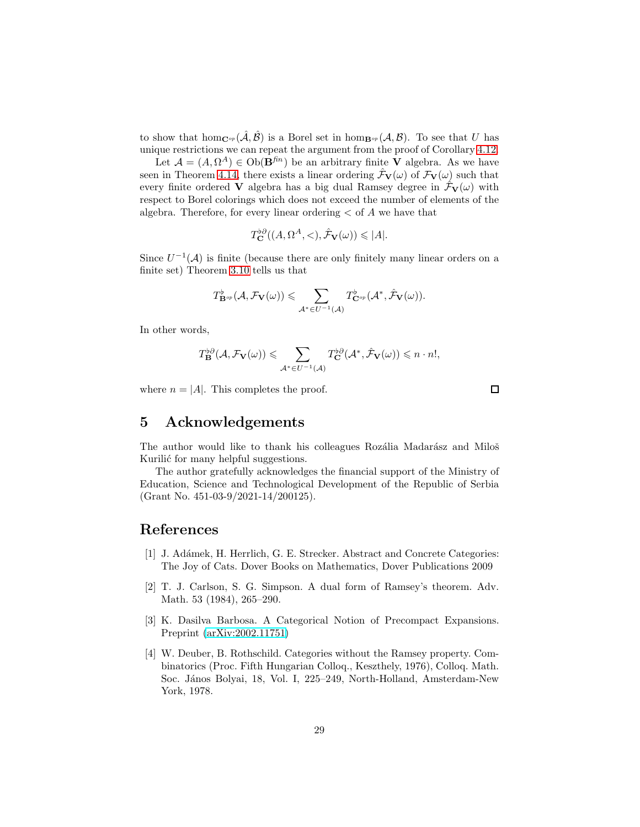to show that hom<sub>C<sup>op</sub></sup>  $(\hat{A}, \hat{B})$  is a Borel set in hom<sub>B<sup>op</sub></sup>  $(A, B)$ . To see that U has</sub></sub> unique restrictions we can repeat the argument from the proof of Corollary [4.12.](#page-24-0)

Let  $\mathcal{A} = (A, \Omega^A) \in Ob(\mathbf{B}^{fn})$  be an arbitrary finite **V** algebra. As we have seen in Theorem [4.14,](#page-25-0) there exists a linear ordering  $\mathcal{F}_{\mathbf{V}}(\omega)$  of  $\mathcal{F}_{\mathbf{V}}(\omega)$  such that every finite ordered **V** algebra has a big dual Ramsey degree in  $\mathcal{F}_{\mathbf{V}}(\omega)$  with respect to Borel colorings which does not exceed the number of elements of the algebra. Therefore, for every linear ordering  $\lt$  of A we have that

$$
T_{\mathbf{C}}^{b\partial}((A,\Omega^A,<),\hat{\mathcal{F}}_{\mathbf{V}}(\omega))\leqslant |A|.
$$

Since  $U^{-1}(\mathcal{A})$  is finite (because there are only finitely many linear orders on a finite set) Theorem [3.10](#page-13-1) tells us that

$$
T^{\flat}_{\mathbf{B}^{op}}(\mathcal{A},\mathcal{F}_{\mathbf{V}}(\omega))\leqslant \sum_{\mathcal{A}^{*}\in U^{-1}(\mathcal{A})}T^{\flat}_{\mathbf{C}^{op}}(\mathcal{A}^{*},\hat{\mathcal{F}}_{\mathbf{V}}(\omega)).
$$

In other words,

$$
T_{\mathbf{B}}^{b\partial}(\mathcal{A},\mathcal{F}_{\mathbf{V}}(\omega))\leqslant \sum_{\mathcal{A}^*\in U^{-1}(\mathcal{A})}T_{\mathbf{C}}^{b\partial}(\mathcal{A}^*,\hat{\mathcal{F}}_{\mathbf{V}}(\omega))\leqslant n\cdot n!,
$$

where  $n = |A|$ . This completes the proof.

 $\Box$ 

#### 5 Acknowledgements

The author would like to thank his colleagues Rozália Madarász and Miloš Kurilić for many helpful suggestions.

The author gratefully acknowledges the financial support of the Ministry of Education, Science and Technological Development of the Republic of Serbia (Grant No. 451-03-9/2021-14/200125).

#### <span id="page-28-1"></span>References

- [1] J. Ad´amek, H. Herrlich, G. E. Strecker. Abstract and Concrete Categories: The Joy of Cats. Dover Books on Mathematics, Dover Publications 2009
- <span id="page-28-3"></span>[2] T. J. Carlson, S. G. Simpson. A dual form of Ramsey's theorem. Adv. Math. 53 (1984), 265–290.
- <span id="page-28-2"></span>[3] K. Dasilva Barbosa. A Categorical Notion of Precompact Expansions. Preprint [\(arXiv:2002.11751\)](http://arxiv.org/abs/2002.11751)
- <span id="page-28-0"></span>[4] W. Deuber, B. Rothschild. Categories without the Ramsey property. Combinatorics (Proc. Fifth Hungarian Colloq., Keszthely, 1976), Colloq. Math. Soc. János Bolyai, 18, Vol. I, 225–249, North-Holland, Amsterdam-New York, 1978.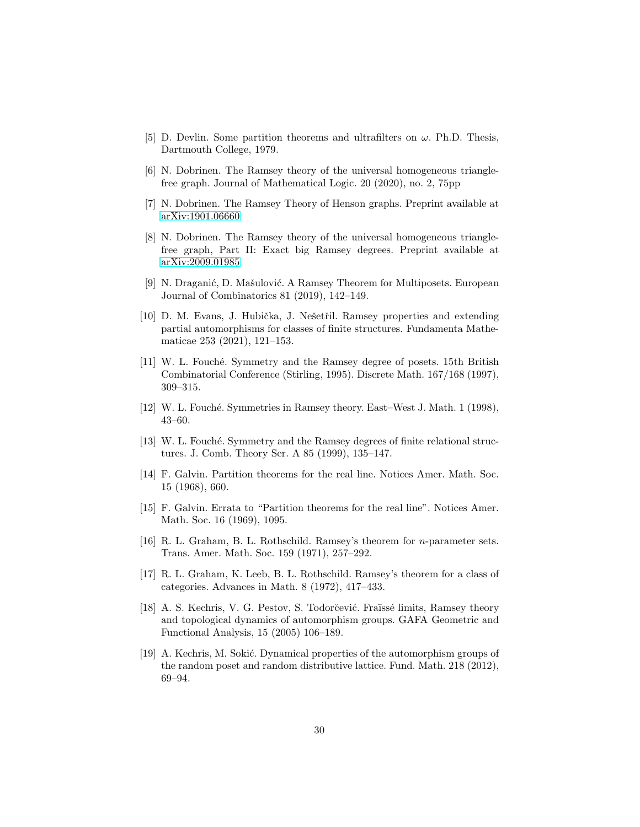- <span id="page-29-12"></span><span id="page-29-11"></span>[5] D. Devlin. Some partition theorems and ultrafilters on  $\omega$ . Ph.D. Thesis, Dartmouth College, 1979.
- <span id="page-29-13"></span>[6] N. Dobrinen. The Ramsey theory of the universal homogeneous trianglefree graph. Journal of Mathematical Logic. 20 (2020), no. 2, 75pp
- <span id="page-29-14"></span>[7] N. Dobrinen. The Ramsey Theory of Henson graphs. Preprint available at [arXiv:1901.06660](http://arxiv.org/abs/1901.06660)
- [8] N. Dobrinen. The Ramsey theory of the universal homogeneous trianglefree graph, Part II: Exact big Ramsey degrees. Preprint available at [arXiv:2009.01985](http://arxiv.org/abs/2009.01985)
- <span id="page-29-1"></span>[9] N. Draganić, D. Mašulović. A Ramsey Theorem for Multiposets. European Journal of Combinatorics 81 (2019), 142–149.
- <span id="page-29-7"></span>[10] D. M. Evans, J. Hubička, J. Nešetřil. Ramsey properties and extending partial automorphisms for classes of finite structures. Fundamenta Mathematicae 253 (2021), 121–153.
- <span id="page-29-0"></span>[11] W. L. Fouché. Symmetry and the Ramsey degree of posets. 15th British Combinatorial Conference (Stirling, 1995). Discrete Math. 167/168 (1997), 309–315.
- <span id="page-29-4"></span><span id="page-29-3"></span>[12] W. L. Fouché. Symmetries in Ramsey theory. East–West J. Math. 1 (1998), 43–60.
- [13] W. L. Fouché. Symmetry and the Ramsey degrees of finite relational structures. J. Comb. Theory Ser. A 85 (1999), 135–147.
- <span id="page-29-9"></span>[14] F. Galvin. Partition theorems for the real line. Notices Amer. Math. Soc. 15 (1968), 660.
- <span id="page-29-10"></span>[15] F. Galvin. Errata to "Partition theorems for the real line". Notices Amer. Math. Soc. 16 (1969), 1095.
- <span id="page-29-5"></span>[16] R. L. Graham, B. L. Rothschild. Ramsey's theorem for n-parameter sets. Trans. Amer. Math. Soc. 159 (1971), 257–292.
- <span id="page-29-6"></span>[17] R. L. Graham, K. Leeb, B. L. Rothschild. Ramsey's theorem for a class of categories. Advances in Math. 8 (1972), 417–433.
- <span id="page-29-2"></span>[18] A. S. Kechris, V. G. Pestov, S. Todorčević. Fraïssé limits, Ramsey theory and topological dynamics of automorphism groups. GAFA Geometric and Functional Analysis, 15 (2005) 106–189.
- <span id="page-29-8"></span>[19] A. Kechris, M. Sokić. Dynamical properties of the automorphism groups of the random poset and random distributive lattice. Fund. Math. 218 (2012), 69–94.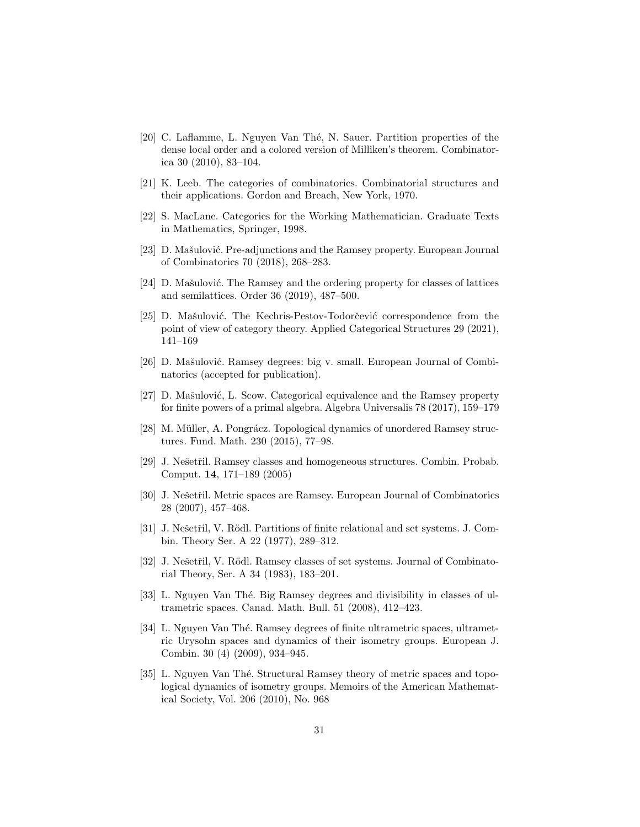- <span id="page-30-10"></span>[20] C. Laflamme, L. Nguyen Van Thé, N. Sauer. Partition properties of the dense local order and a colored version of Milliken's theorem. Combinatorica 30 (2010), 83–104.
- <span id="page-30-13"></span><span id="page-30-8"></span>[21] K. Leeb. The categories of combinatorics. Combinatorial structures and their applications. Gordon and Breach, New York, 1970.
- <span id="page-30-14"></span>[22] S. MacLane. Categories for the Working Mathematician. Graduate Texts in Mathematics, Springer, 1998.
- <span id="page-30-7"></span>[23] D. Mašulović. Pre-adjunctions and the Ramsey property. European Journal of Combinatorics 70 (2018), 268–283.
- $[24]$  D. Mašulović. The Ramsey and the ordering property for classes of lattices and semilattices. Order 36 (2019), 487–500.
- <span id="page-30-11"></span>[25] D. Mašulović. The Kechris-Pestov-Todorčević correspondence from the point of view of category theory. Applied Categorical Structures 29 (2021), 141–169
- <span id="page-30-12"></span>[26] D. Mašulović. Ramsey degrees: big v. small. European Journal of Combinatorics (accepted for publication).
- <span id="page-30-6"></span>[27] D. Mašulović, L. Scow. Categorical equivalence and the Ramsey property for finite powers of a primal algebra. Algebra Universalis 78 (2017), 159–179
- <span id="page-30-15"></span>[28] M. Müller, A. Pongrácz. Topological dynamics of unordered Ramsey structures. Fund. Math. 230 (2015), 77–98.
- <span id="page-30-5"></span>[29] J. Nešetřil. Ramsey classes and homogeneous structures. Combin. Probab. Comput. 14, 171–189 (2005)
- <span id="page-30-2"></span>[30] J. Nešetřil. Metric spaces are Ramsey. European Journal of Combinatorics 28 (2007), 457–468.
- <span id="page-30-0"></span>[31] J. Nešetřil, V. Rödl. Partitions of finite relational and set systems. J. Combin. Theory Ser. A 22 (1977), 289–312.
- <span id="page-30-1"></span>[32] J. Nešetřil, V. Rödl. Ramsey classes of set systems. Journal of Combinatorial Theory, Ser. A 34 (1983), 183–201.
- <span id="page-30-9"></span>[33] L. Nguyen Van Thé. Big Ramsey degrees and divisibility in classes of ultrametric spaces. Canad. Math. Bull. 51 (2008), 412–423.
- <span id="page-30-3"></span>[34] L. Nguyen Van Thé. Ramsey degrees of finite ultrametric spaces, ultrametric Urysohn spaces and dynamics of their isometry groups. European J. Combin. 30 (4) (2009), 934–945.
- <span id="page-30-4"></span>[35] L. Nguyen Van Thé. Structural Ramsey theory of metric spaces and topological dynamics of isometry groups. Memoirs of the American Mathematical Society, Vol. 206 (2010), No. 968